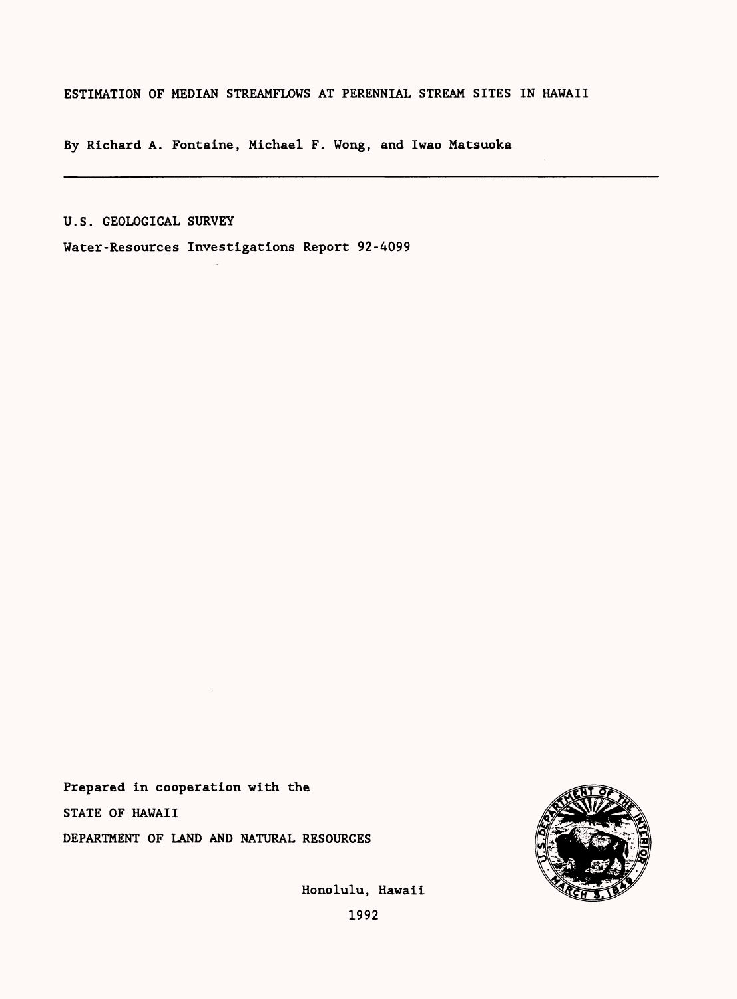# ESTIMATION OF MEDIAN STREAMFLOWS AT PERENNIAL STREAM SITES IN HAWAII

By Richard A. Fontaine, Michael F. Wong, and Iwao Matsuoka

U.S. GEOLOGICAL SURVEY

Water-Resources Investigations Report 92-4099

Prepared in cooperation with the STATE OF HAWAII DEPARTMENT OF LAND AND NATURAL RESOURCES



Honolulu, Hawaii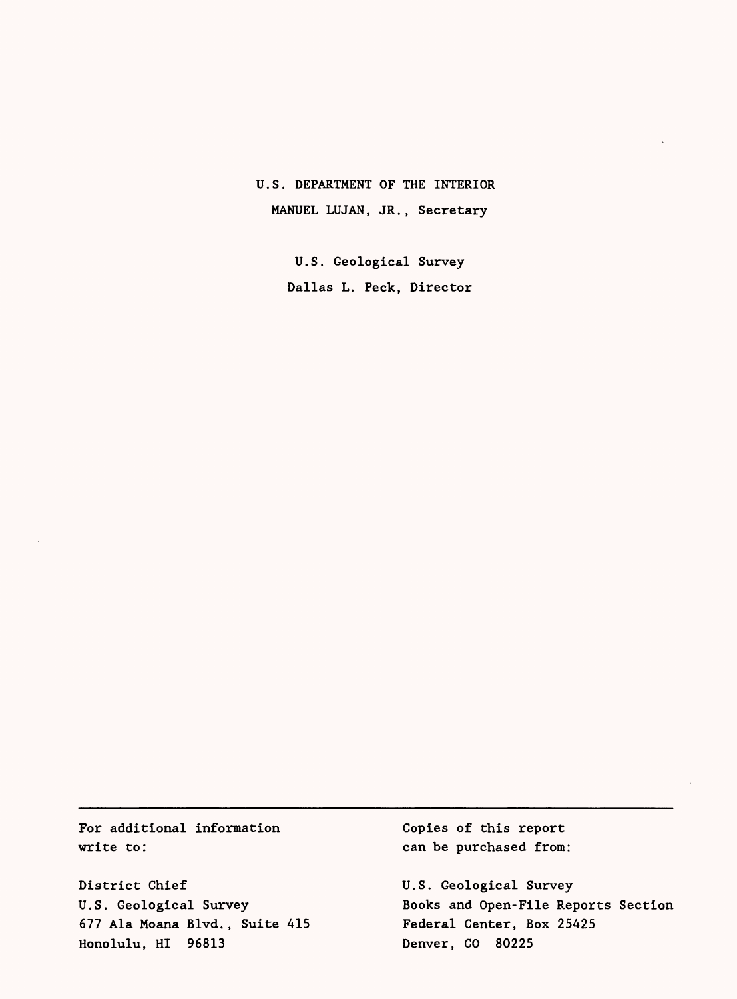# U.S. DEPARTMENT OF THE INTERIOR MANUEL LUJAN, JR., Secretary

U.S. Geological Survey Dallas L. Peck, Director

For additional information write to:

District Chief U.S. Geological Survey 677 Ala Moana Blvd., Suite 415 Honolulu, HI 96813

Copies of this report can be purchased from:

U.S. Geological Survey Books and Open-File Reports Section Federal Center, Box 25425 Denver, CO 80225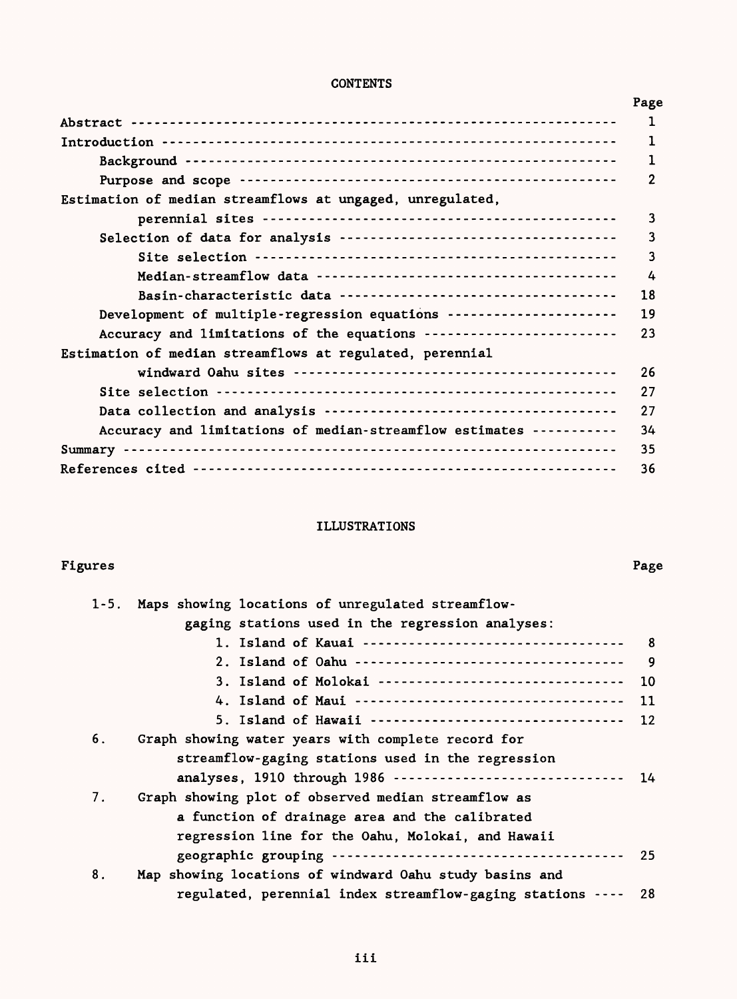# **CONTENTS**

|                                                                     | Page         |
|---------------------------------------------------------------------|--------------|
|                                                                     | $\mathbf{1}$ |
|                                                                     | 1            |
|                                                                     |              |
|                                                                     | 2            |
| Estimation of median streamflows at ungaged, unregulated,           |              |
|                                                                     | 3            |
|                                                                     | 3            |
|                                                                     | 3            |
|                                                                     | 4            |
|                                                                     | 18           |
| Development of multiple-regression equations ---------------------  | 19           |
| Accuracy and limitations of the equations ------------------------- | 23           |
| Estimation of median streamflows at regulated, perennial            |              |
|                                                                     | 26           |
|                                                                     | 27           |
|                                                                     | 27           |
| Accuracy and limitations of median-streamflow estimates ----------- | 34           |
|                                                                     | 35           |
|                                                                     | 36           |
|                                                                     |              |

# ILLUSTRATIONS

#### Figures Page

|    | 1-5. Maps showing locations of unregulated streamflow-     |            |
|----|------------------------------------------------------------|------------|
|    | gaging stations used in the regression analyses:           |            |
|    |                                                            | $_{\rm 8}$ |
|    |                                                            | - 9        |
|    | 3. Island of Molokai --------------------------------      | 10         |
|    |                                                            | 11         |
|    |                                                            | 12         |
| 6. | Graph showing water years with complete record for         |            |
|    | streamflow-gaging stations used in the regression          |            |
|    | analyses, 1910 through 1986                                | 14         |
| 7. | Graph showing plot of observed median streamflow as        |            |
|    | a function of drainage area and the calibrated             |            |
|    | regression line for the Oahu, Molokai, and Hawaii          |            |
|    |                                                            | 25         |
| 8. | Map showing locations of windward Oahu study basins and    |            |
|    | regulated, perennial index streamflow-gaging stations ---- | -28        |
|    |                                                            |            |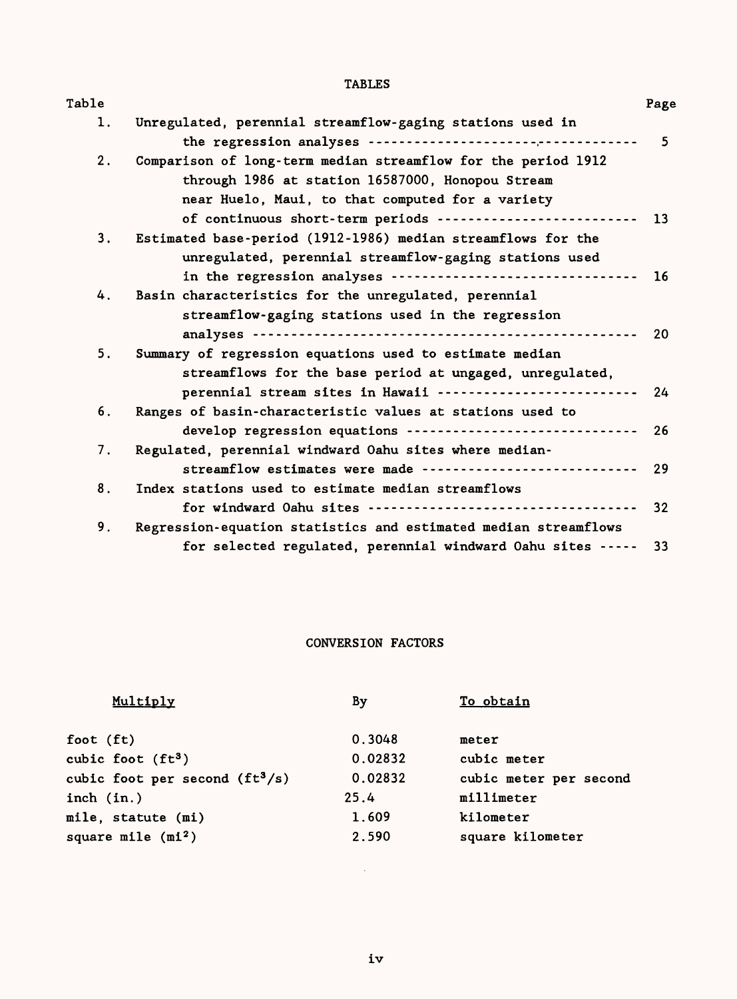# TABLES

| Table |                                                                 | Page           |
|-------|-----------------------------------------------------------------|----------------|
| 1.    | Unregulated, perennial streamflow-gaging stations used in       |                |
|       |                                                                 | 5 <sup>5</sup> |
| 2.    | Comparison of long-term median streamflow for the period 1912   |                |
|       | through 1986 at station 16587000, Honopou Stream                |                |
|       | near Huelo, Maui, to that computed for a variety                |                |
|       | of continuous short-term periods --------------------------     | 13             |
| 3.    | Estimated base-period (1912-1986) median streamflows for the    |                |
|       | unregulated, perennial streamflow-gaging stations used          |                |
|       | in the regression analyses                                      | 16             |
| 4.    | Basin characteristics for the unregulated, perennial            |                |
|       | streamflow-gaging stations used in the regression               |                |
|       |                                                                 | 20             |
| 5.    |                                                                 |                |
|       | Summary of regression equations used to estimate median         |                |
|       | streamflows for the base period at ungaged, unregulated,        |                |
|       | perennial stream sites in Hawaii --------------------------     | 24             |
| 6.    | Ranges of basin-characteristic values at stations used to       |                |
|       | develop regression equations ------------------------------     | 26             |
| 7.    | Regulated, perennial windward Oahu sites where median-          |                |
|       | streamflow estimates were made -----------------------------    | 29             |
| 8.    | Index stations used to estimate median streamflows              |                |
|       |                                                                 | 32             |
| 9.    | Regression-equation statistics and estimated median streamflows |                |
|       | for selected regulated, perennial windward Oahu sites -----     | 33             |
|       |                                                                 |                |

# CONVERSION FACTORS

| Multiply                        | By      | To obtain              |
|---------------------------------|---------|------------------------|
| foot $(ft)$                     | 0.3048  | meter                  |
| cubic foot $(ft3)$              | 0.02832 | cubic meter            |
| cubic foot per second $(ft3/s)$ | 0.02832 | cubic meter per second |
| inch $(in.)$                    | 25.4    | millimeter             |
| mile, statute (mi)              | 1.609   | kilometer              |
| square mile $(mi^2)$            | 2.590   | square kilometer       |
|                                 |         |                        |

 $\sim 10^{-10}$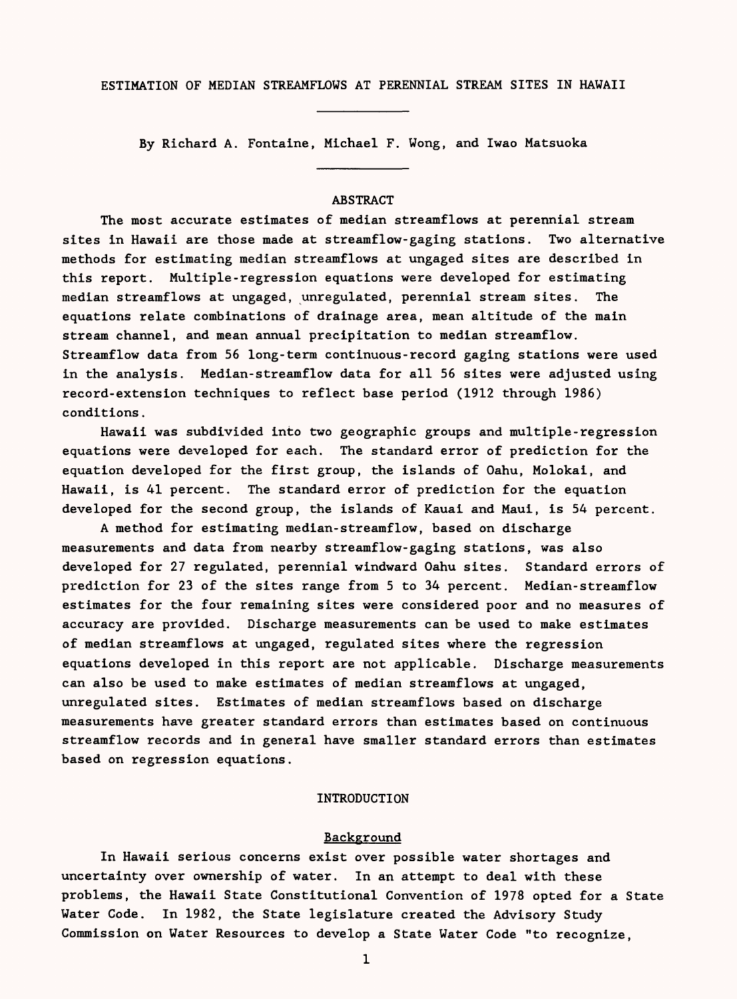ESTIMATION OF MEDIAN STREAMFLOWS AT PERENNIAL STREAM SITES IN HAWAII

By Richard A. Fontaine, Michael F. Wong, and Iwao Matsuoka

# ABSTRACT

The most accurate estimates of median streamflows at perennial stream sites in Hawaii are those made at streamflow-gaging stations. Two alternative methods for estimating median streamflows at ungaged sites are described in this report. Multiple-regression equations were developed for estimating median streamflows at ungaged, unregulated, perennial stream sites. The equations relate combinations of drainage area, mean altitude of the main stream channel, and mean annual precipitation to median streamflow. Streamflow data from 56 long-term continuous-record gaging stations were used in the analysis. Median-streamflow data for all 56 sites were adjusted using record-extension techniques to reflect base period (1912 through 1986) conditions.

Hawaii was subdivided into two geographic groups and multiple-regression equations were developed for each. The standard error of prediction for the equation developed for the first group, the islands of Oahu, Molokai, and Hawaii, is 41 percent. The standard error of prediction for the equation developed for the second group, the islands of Kauai and Maui, is 54 percent.

A method for estimating median-streamflow, based on discharge measurements and data from nearby streamflow-gaging stations, was also developed for 27 regulated, perennial windward Oahu sites. Standard errors of prediction for 23 of the sites range from 5 to 34 percent. Median-streamflow estimates for the four remaining sites were considered poor and no measures of accuracy are provided. Discharge measurements can be used to make estimates of median streamflows at ungaged, regulated sites where the regression equations developed in this report are not applicable. Discharge measurements can also be used to make estimates of median streamflows at ungaged, unregulated sites. Estimates of median streamflows based on discharge measurements have greater standard errors than estimates based on continuous streamflow records and in general have smaller standard errors than estimates based on regression equations.

# INTRODUCTION

### Background

In Hawaii serious concerns exist over possible water shortages and uncertainty over ownership of water. In an attempt to deal with these problems, the Hawaii State Constitutional Convention of 1978 opted for a State Water Code. In 1982, the State legislature created the Advisory Study Commission on Water Resources to develop a State Water Code "to recognize,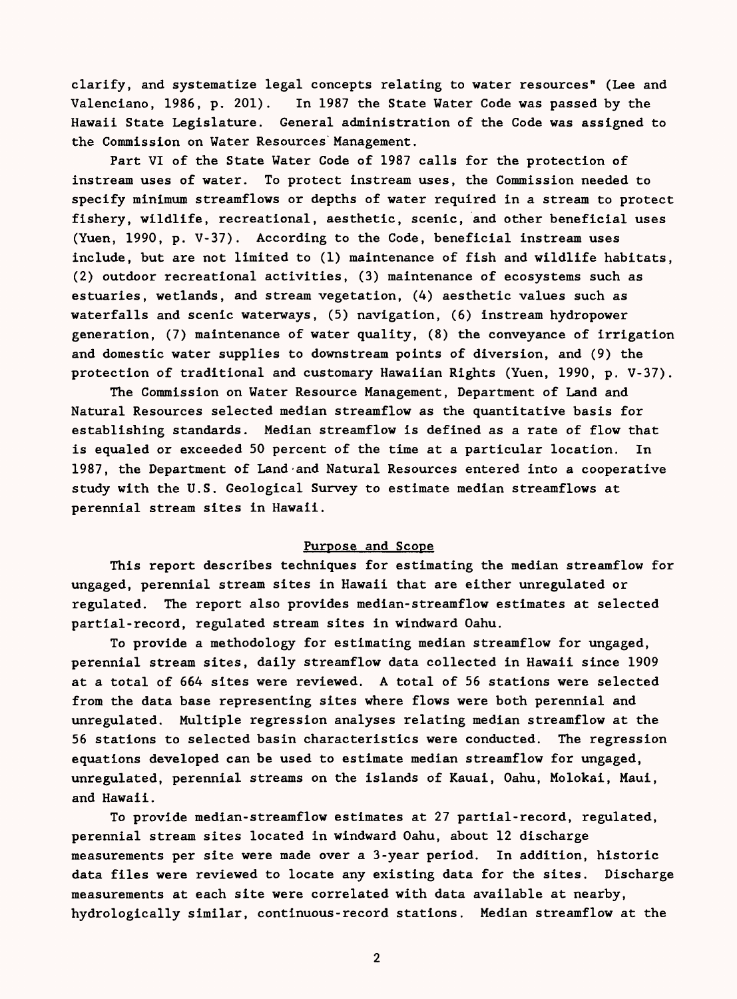clarify, and systematize legal concepts relating to water resources" (Lee and Valenciano, 1986, p. 201). In 1987 the State Water Code was passed by the Hawaii State Legislature. General administration of the Code was assigned to the Commission on Water Resources'Management.

Part VI of the State Water Code of 1987 calls for the protection of instream uses of water. To protect instream uses, the Commission needed to specify minimum streamflows or depths of water required in a stream to protect fishery, wildlife, recreational, aesthetic, scenic, and other beneficial uses (Yuen, 1990, p. V-37). According to the Code, beneficial instream uses include, but are not limited to (1) maintenance of fish and wildlife habitats, (2) outdoor recreational activities, (3) maintenance of ecosystems such as estuaries, wetlands, and stream vegetation, (4) aesthetic values such as waterfalls and scenic waterways, (5) navigation, (6) instream hydropower generation, (7) maintenance of water quality, (8) the conveyance of irrigation and domestic water supplies to downstream points of diversion, and (9) the protection of traditional and customary Hawaiian Rights (Yuen, 1990, p. V-37).

The Commission on Water Resource Management, Department of Land and Natural Resources selected median streamflow as the quantitative basis for establishing standards. Median streamflow is defined as a rate of flow that is equaled or exceeded 50 percent of the time at a particular location. In 1987, the Department of Land-and Natural Resources entered into a cooperative study with the U.S. Geological Survey to estimate median streamflows at perennial stream sites in Hawaii.

# Purpose and Scope

This report describes techniques for estimating the median streamflow for ungaged, perennial stream sites in Hawaii that are either unregulated or regulated. The report also provides median-streamflow estimates at selected partial-record, regulated stream sites in windward Oahu.

To provide a methodology for estimating median streamflow for ungaged, perennial stream sites, daily streamflow data collected in Hawaii since 1909 at a total of 664 sites were reviewed. A total of 56 stations were selected from the data base representing sites where flows were both perennial and unregulated. Multiple regression analyses relating median streamflow at the 56 stations to selected basin characteristics were conducted. The regression equations developed can be used to estimate median streamflow for ungaged, unregulated, perennial streams on the islands of Kauai, Oahu, Molokai, Maui, and Hawaii.

To provide median-streamflow estimates at 27 partial-record, regulated, perennial stream sites located in windward Oahu, about 12 discharge measurements per site were made over a 3-year period. In addition, historic data files were reviewed to locate any existing data for the sites. Discharge measurements at each site were correlated with data available at nearby, hydrologically similar, continuous-record stations. Median streamflow at the

 $\overline{2}$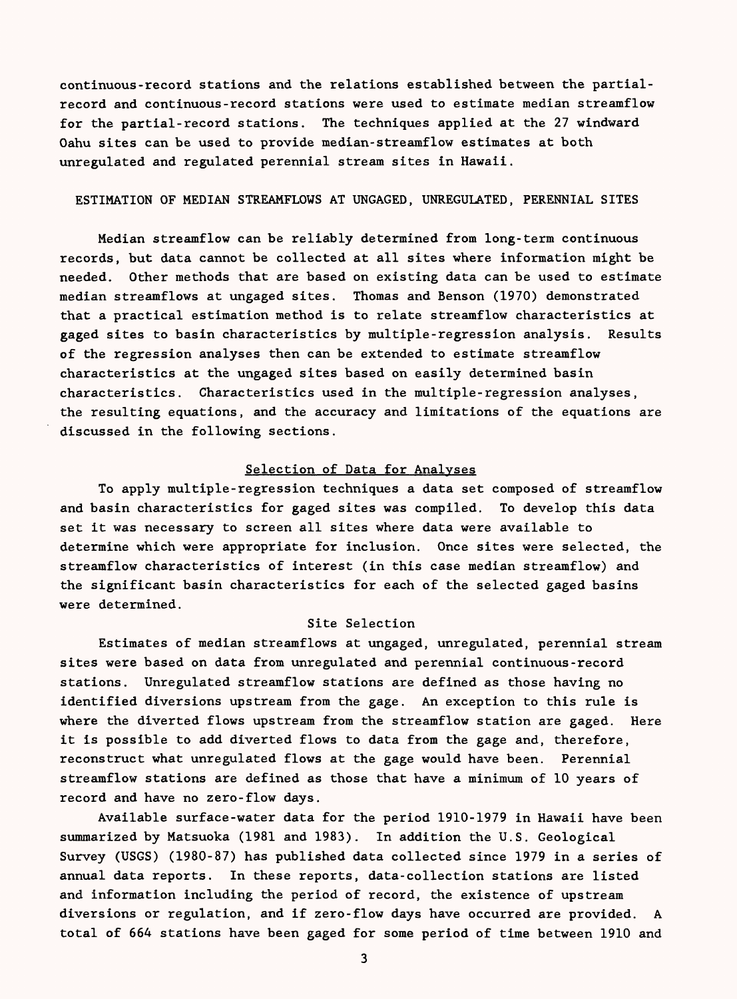continuous-record stations and the relations established between the partialrecord and continuous-record stations were used to estimate median streamflow for the partial-record stations. The techniques applied at the 27 windward Oahu sites can be used to provide median-streamflow estimates at both unregulated and regulated perennial stream sites in Hawaii.

# ESTIMATION OF MEDIAN STREAMFLOWS AT UNGAGED, UNREGULATED, PERENNIAL SITES

Median streamflow can be reliably determined from long-term continuous records, but data cannot be collected at all sites where information might be needed. Other methods that are based on existing data can be used to estimate median streamflows at ungaged sites. Thomas and Benson (1970) demonstrated that a practical estimation method is to relate streamflow characteristics at gaged sites to basin characteristics by multiple-regression analysis. Results of the regression analyses then can be extended to estimate streamflow characteristics at the ungaged sites based on easily determined basin characteristics. Characteristics used in the multiple-regression analyses, the resulting equations, and the accuracy and limitations of the equations are discussed in the following sections.

#### Selection of Data for Analyses

To apply multiple-regression techniques a data set composed of streamflow and basin characteristics for gaged sites was compiled. To develop this data set it was necessary to screen all sites where data were available to determine which were appropriate for inclusion. Once sites were selected, the streamflow characteristics of interest (in this case median streamflow) and the significant basin characteristics for each of the selected gaged basins were determined.

### Site Selection

Estimates of median streamflows at ungaged, unregulated, perennial stream sites were based on data from unregulated and perennial continuous-record stations. Unregulated streamflow stations are defined as those having no identified diversions upstream from the gage. An exception to this rule is where the diverted flows upstream from the streamflow station are gaged. Here it is possible to add diverted flows to data from the gage and, therefore, reconstruct what unregulated flows at the gage would have been. Perennial streamflow stations are defined as those that have a minimum of 10 years of record and have no zero-flow days.

Available surface-water data for the period 1910-1979 in Hawaii have been summarized by Matsuoka (1981 and 1983). In addition the U.S. Geological Survey (USGS) (1980-87) has published data collected since 1979 in a series of annual data reports. In these reports, data-collection stations are listed and information including the period of record, the existence of upstream diversions or regulation, and if zero-flow days have occurred are provided. A total of 664 stations have been gaged for some period of time between 1910 and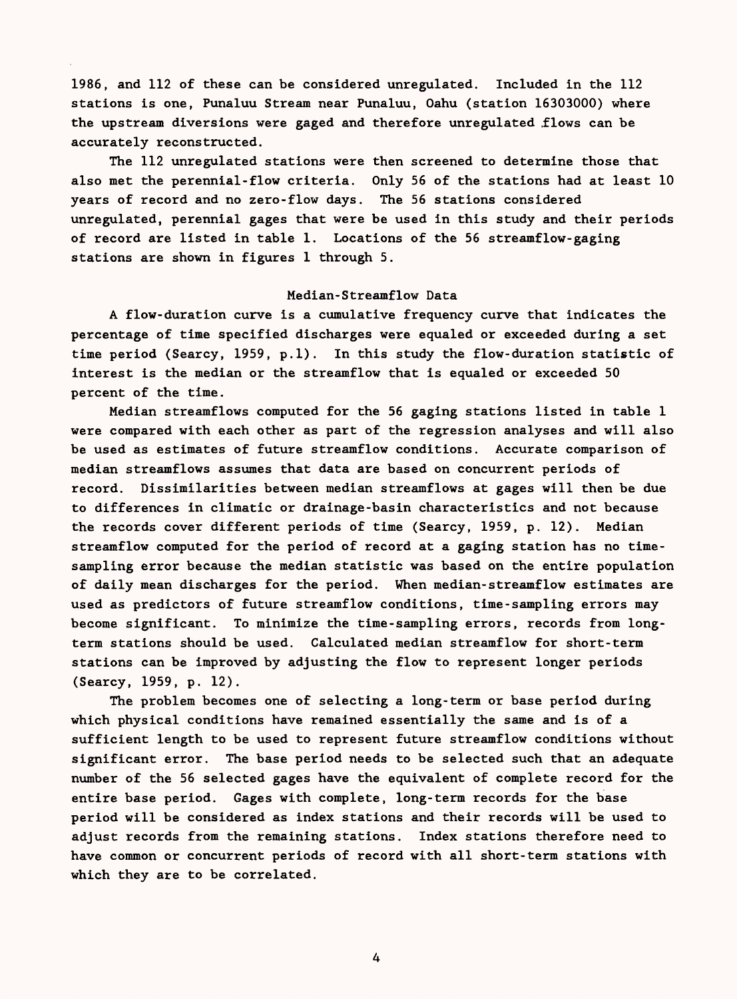1986, and 112 of these can be considered unregulated. Included in the 112 stations is one, Punaluu Stream near Punaluu, Oahu (station 16303000) where the upstream diversions were gaged and therefore unregulated .flows can be accurately reconstructed.

The 112 unregulated stations were then screened to determine those that also met the perennial-flow criteria. Only 56 of the stations had at least 10 years of record and no zero-flow days. The 56 stations considered unregulated, perennial gages that were be used in this study and their periods of record are listed in table 1. Locations of the 56 streamflow-gaging stations are shown in figures 1 through 5.

# Median-Streamflow Data

A flow-duration curve is a cumulative frequency curve that indicates the percentage of time specified discharges were equaled or exceeded during a set time period (Searcy, 1959, p.l). In this study the flow-duration statistic of interest is the median or the streamflow that is equaled or exceeded 50 percent of the time.

Median streamflows computed for the 56 gaging stations listed in table 1 were compared with each other as part of the regression analyses and will also be used as estimates of future streamflow conditions. Accurate comparison of median streamflows assumes that data are based on concurrent periods of record. Dissimilarities between median streamflows at gages will then be due to differences in climatic or drainage-basin characteristics and not because the records cover different periods of time (Searcy, 1959, p. 12). Median streamflow computed for the period of record at a gaging station has no timesampling error because the median statistic was based on the entire population of daily mean discharges for the period. When median-streamflow estimates are used as predictors of future streamflow conditions, time-sampling errors may become significant. To minimize the time-sampling errors, records from longterm stations should be used. Calculated median streamflow for short-term stations can be improved by adjusting the flow to represent longer periods (Searcy, 1959, p. 12).

The problem becomes one of selecting a long-term or base period during which physical conditions have remained essentially the same and is of a sufficient length to be used to represent future streamflow conditions without significant error. The base period needs to be selected such that an adequate number of the 56 selected gages have the equivalent of complete record for the entire base period. Gages with complete, long-term records for the base period will be considered as index stations and their records will be used to adjust records from the remaining stations. Index stations therefore need to have common or concurrent periods of record with all short-term stations with which they are to be correlated.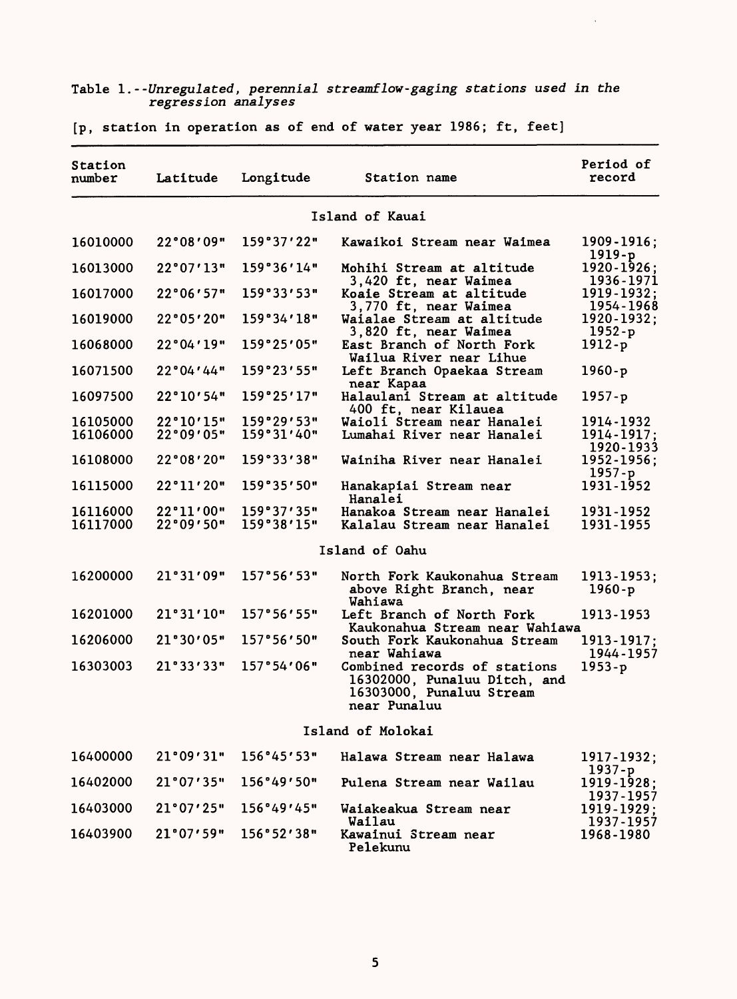#### Table 1. --Unregulated, perennial streamflow-gaging stations used in the regression analyses

 $\bar{\mathcal{E}}$ 

| Station<br>number    | Latitude               | Longitude                | Station name                                                                                             | Period of<br>record                  |
|----------------------|------------------------|--------------------------|----------------------------------------------------------------------------------------------------------|--------------------------------------|
|                      |                        |                          | Island of Kauai                                                                                          |                                      |
| 16010000             | 22°08'09"              | 159°37'22"               | Kawaikoi Stream near Waimea                                                                              | 1909-1916;<br>$1919-p$               |
| 16013000             | 22°07'13"              | 159°36'14"               | Mohihi Stream at altitude<br>3,420 ft, near Waimea                                                       | $1920 - 1926$ ;<br>1936-1971         |
| 16017000             | 22°06′57"              | 159°33'53"               | Koaie Stream at altitude<br>3,770 ft, near Waimea                                                        | $1919 - 1932$ ;<br>1954-1968         |
| 16019000             | 22°05'20"              | 159°34'18"               | Waialae Stream at altitude<br>3,820 ft, near Waimea                                                      | 1920-1932;<br>$1952-p$               |
| 16068000             | 22°04'19"              | 159°25'05"               | East Branch of North Fork<br>Wailua River near Lihue                                                     | $1912-p$                             |
| 16071500             | 22°04'44"              | 159°23'55"               | Left Branch Opaekaa Stream<br>near Kapaa                                                                 | $1960-p$                             |
| 16097500             | 22°10'54"              | 159°25'17"               | Halaulani Stream at altitude<br>400 ft, near Kilauea                                                     | $1957-p$                             |
| 16105000<br>16106000 | 22°10'15"<br>22°09'05" | 159°29'53"<br>159°31'40" | Waioli Stream near Hanalei<br>Lumahai River near Hanalei                                                 | 1914-1932<br>1914-1917:<br>1920-1933 |
| 16108000             | 22°08'20"              | 159°33'38"               | Wainiha River near Hanalei                                                                               | 1952-1956;<br>$1957 - p$             |
| 16115000             | 22°11'20"              | 159°35'50"               | Hanakapiai Stream near<br>Hanalei                                                                        | 1931-1952                            |
| 16116000<br>16117000 | 22°11'00"<br>22°09'50" | 159°37'35"<br>159°38'15" | Hanakoa Stream near Hanalei<br>Kalalau Stream near Hanalei                                               | 1931-1952<br>1931-1955               |
|                      |                        |                          | Island of Oahu                                                                                           |                                      |
| 16200000             | 21°31'09"              | 157°56'53"               | North Fork Kaukonahua Stream<br>above Right Branch, near<br>Wahiawa                                      | 1913-1953;<br>$1960-p$               |
| 16201000             | 21°31'10"              | 157°56'55"               | Left Branch of North Fork<br>Kaukonahua Stream near Wahiawa                                              | 1913-1953                            |
| 16206000             | 21°30'05"              | 157°56'50"               | South Fork Kaukonahua Stream<br>near Wahiawa                                                             | 1913-1917;<br>1944-1957              |
| 16303003             | 21°33'33"              | 157°54'06"               | Combined records of stations<br>16302000, Punaluu Ditch, and<br>16303000, Punaluu Stream<br>near Punaluu | $1953-p$                             |
|                      |                        |                          | Island of Molokai                                                                                        |                                      |
| 16400000             | 21°09'31"              | 156°45'53"               | Halawa Stream near Halawa                                                                                | 1917-1932;                           |
| 16402000             | 21°07'35"              | 156°49'50"               | Pulena Stream near Wailau                                                                                | $1937-p$<br>$1919 - 1928;$           |
| 16403000             | 21°07'25"              | 156°49'45"               | Waiakeakua Stream near                                                                                   | 1937-1957<br>1919-1929;              |
| 16403900             | 21°07′59"              | 156°52'38"               | Wailau<br>Kawainui Stream near<br>Pelekunu                                                               | 1937-1957<br>1968-1980               |

[p, station in operation as of end of water year 1986; ft, feet]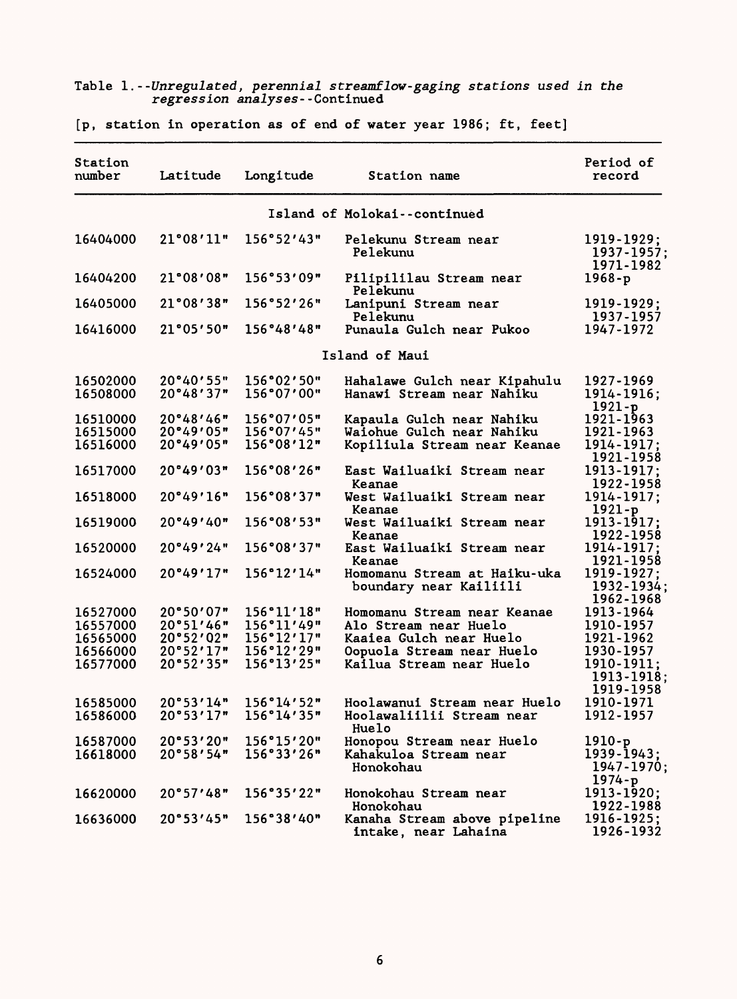#### Table 1.--Unregulated, perennial streamflow-gaging stations used in the regression analyses--Continued

[p, station in operation as of end of water year 1986; ft, feet]

| Station<br>number    | Latitude               | Longitude                | Station name                                                       | Period of<br>record                                |
|----------------------|------------------------|--------------------------|--------------------------------------------------------------------|----------------------------------------------------|
|                      |                        |                          | Island of Molokai--continued                                       |                                                    |
| 16404000             | 21°08'11"              | 156°52'43"               | Pelekunu Stream near<br>Pelekunu                                   | 1919-1929;<br>1937-1957;<br>1971-1982              |
| 16404200             | 21°08'08"              | 156°53'09"               | Pilipililau Stream near<br>Pelekunu                                | $1968-p$                                           |
| 16405000             | 21°08'38"              | 156°52'26"               | Lanipuni Stream near<br>Pelekunu                                   | 1919-1929;<br>1937-1957                            |
| 16416000             | 21°05'50"              | 156°48'48"               | Punaula Gulch near Pukoo                                           | 1947-1972                                          |
|                      |                        |                          | Island of Maui                                                     |                                                    |
| 16502000<br>16508000 | 20°40'55"<br>20°48'37" | 156°02'50"<br>156°07'00" | Hahalawe Gulch near Kipahulu<br>Hanawi Stream near Nahiku          | 1927-1969<br>1914-1916;<br>$1921-p$                |
| 16510000             | 20°48'46"              | 156°07'05"               | Kapaula Gulch near Nahiku                                          | 1921-1963                                          |
| 16515000<br>16516000 | 20°49'05"<br>20°49'05" | 156°07'45"<br>156°08'12" | Waiohue Gulch near Nahiku                                          | 1921-1963<br>1914-1917;                            |
|                      |                        |                          | Kopiliula Stream near Keanae                                       | 1921-1958                                          |
| 16517000             | 20°49'03"              | 156°08'26"               | East Wailuaiki Stream near<br>Keanae                               | 1913-1917;<br>1922-1958                            |
| 16518000             | 20°49'16"              | 156°08'37"               | West Wailuaiki Stream near<br>Keanae                               | 1914-1917:<br>$1921-p$                             |
| 16519000             | 20°49'40"              | 156°08'53"               | West Wailuaiki Stream near<br>Keanae                               | 1913-1917;<br>1922-1958                            |
| 16520000             | 20°49'24"              | 156°08'37"               | East Wailuaiki Stream near<br>Keanae                               | 1914-1917;<br>1921-1958                            |
| 16524000             | 20°49'17"              | 156°12'14"               | Homomanu Stream at Haiku-uka<br>boundary near Kailiili             | 1919-1927;<br>1932-1934;<br>1962-1968              |
| 16527000             | 20°50'07"              | 156°11'18"               | Homomanu Stream near Keanae                                        | 1913-1964                                          |
| 16557000             | 20°51'46"              | 156°11'49"               | Alo Stream near Huelo                                              | 1910-1957                                          |
| 16565000             | 20°52'02"              | 156°12'17"               | Kaaiea Gulch near Huelo                                            | 1921-1962                                          |
| 16566000<br>16577000 | 20°52'17"<br>20°52'35" | 156°12'29"<br>156°13'25" | Oopuola Stream near Huelo<br>Kailua Stream near Huelo              | 1930-1957<br>1910-1911:<br>1913-1918;<br>1919-1958 |
| 16585000<br>16586000 | 20°53'14"<br>20°53'17" | 156°14'52"<br>156°14'35" | Hoolawanui Stream near Huelo<br>Hoolawaliilii Stream near<br>Huelo | 1910-1971<br>1912-1957                             |
| 16587000             | 20°53'20"              | 156°15'20"               | Honopou Stream near Huelo                                          | $1910-p$                                           |
| 16618000             | 20°58'54"              | 156°33'26"               | Kahakuloa Stream near<br>Honokohau                                 | $1939 - 1943$ ;<br>1947-1970;<br>$1974-p$          |
| 16620000             | 20°57'48"              | 156°35'22"               | Honokohau Stream near<br>Honokohau                                 | $1913 - 1920$ ;<br>1922-1988                       |
| 16636000             | 20°53'45"              | 156°38'40"               | Kanaha Stream above pipeline<br>intake, near Lahaina               | 1916-1925;<br>1926-1932                            |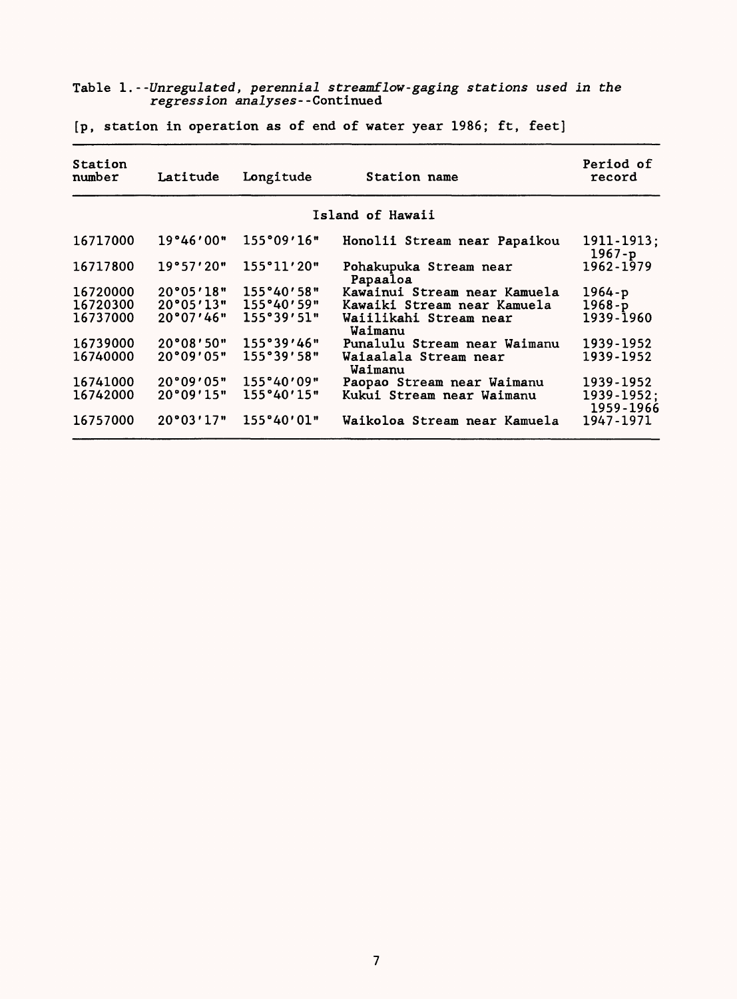#### Table 1.- -Unregulated, perennial streamflow-gaging stations used in the regression analyses--Continued

| Station<br>Latitude<br>Longitude<br>number |           |                        | Station name                       | Period of<br>record        |
|--------------------------------------------|-----------|------------------------|------------------------------------|----------------------------|
|                                            |           |                        | Island of Hawaii                   |                            |
| 16717000                                   | 19°46'00" | 155°09'16"             | Honolii Stream near Papaikou       | $1911 - 1913;$<br>$1967-p$ |
| 16717800                                   | 19°57'20" | 155°11'20"             | Pohakupuka Stream near<br>Papaaloa | 1962-1979                  |
| 16720000                                   | 20°05'18" | 155°40'58"             | Kawainui Stream near Kamuela       | $1964-p$                   |
| 16720300                                   |           | $20°05'13"$ 155°40'59" | Kawaiki Stream near Kamuela        | $1968-p$                   |
| 16737000                                   | 20°07'46" | 155°39′51"             | Waiilikahi Stream near<br>Waimanu  | 1939-1960                  |
| 16739000                                   |           | $20°08′50"$ 155°39′46" | Punalulu Stream near Waimanu       | 1939-1952                  |
| 16740000                                   | 20°09'05" | 155°39'58"             | Waiaalala Stream near<br>Waimanu   | 1939-1952                  |
| 16741000                                   | 20°09'05" | 155°40'09"             | Paopao Stream near Waimanu         | 1939-1952                  |
| 16742000                                   | 20°09'15" | 155°40'15"             | Kukui Stream near Waimanu          | 1939-1952;<br>1959-1966    |
| 16757000                                   | 20°03'17" | 155°40'01"             | Waikoloa Stream near Kamuela       | 1947-1971                  |

[p, station in operation as of end of water year 1986; ft, feet]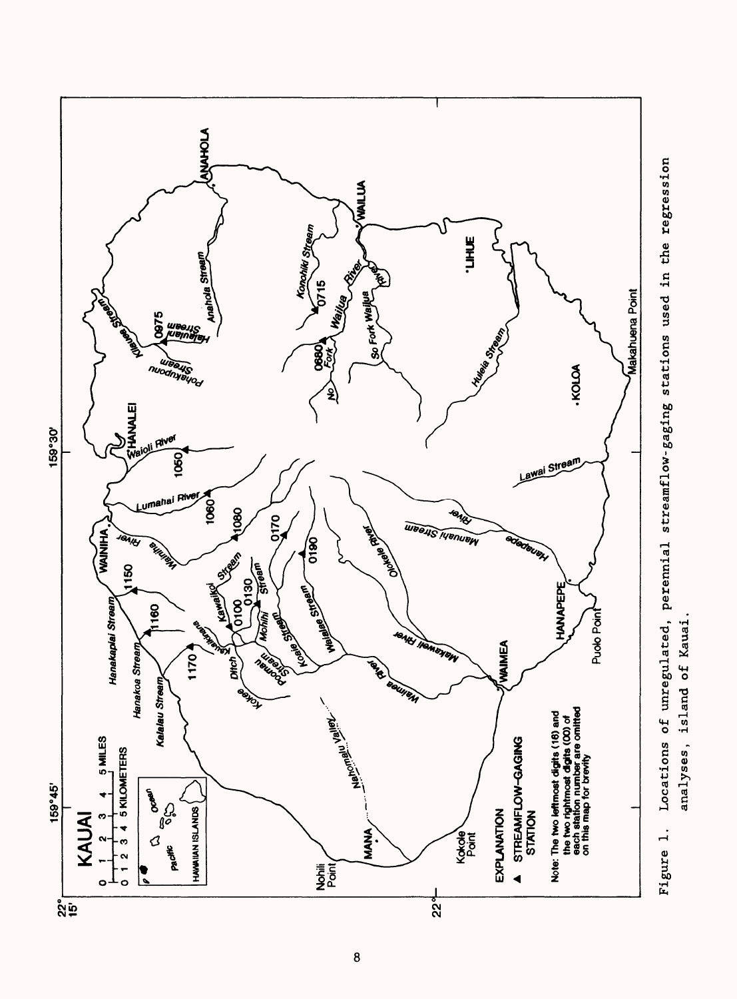

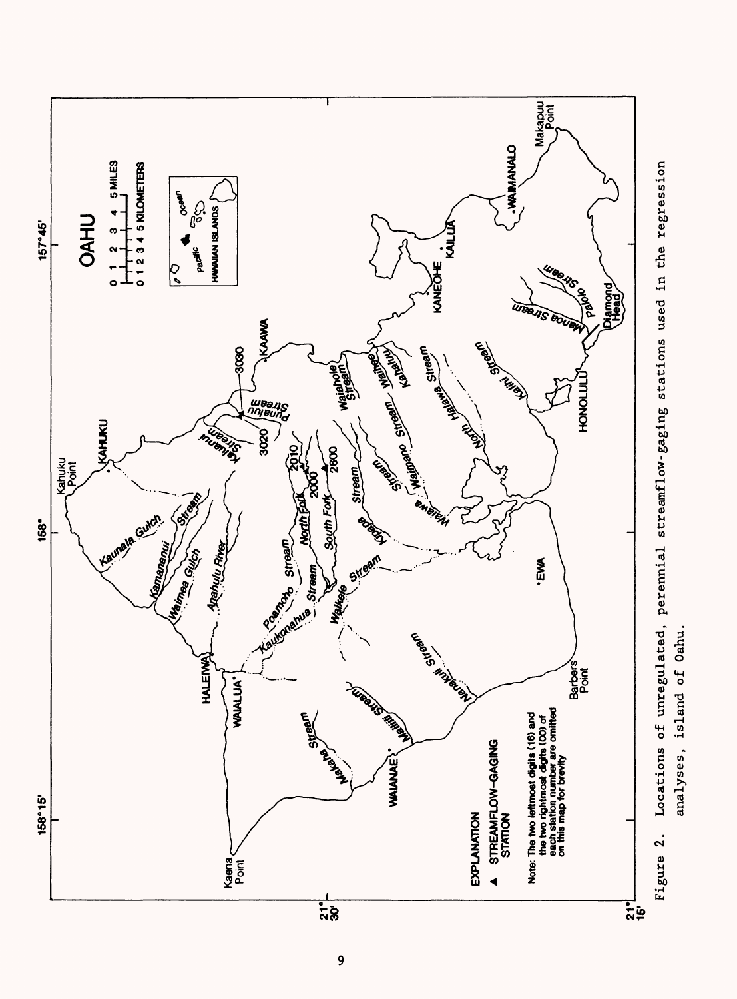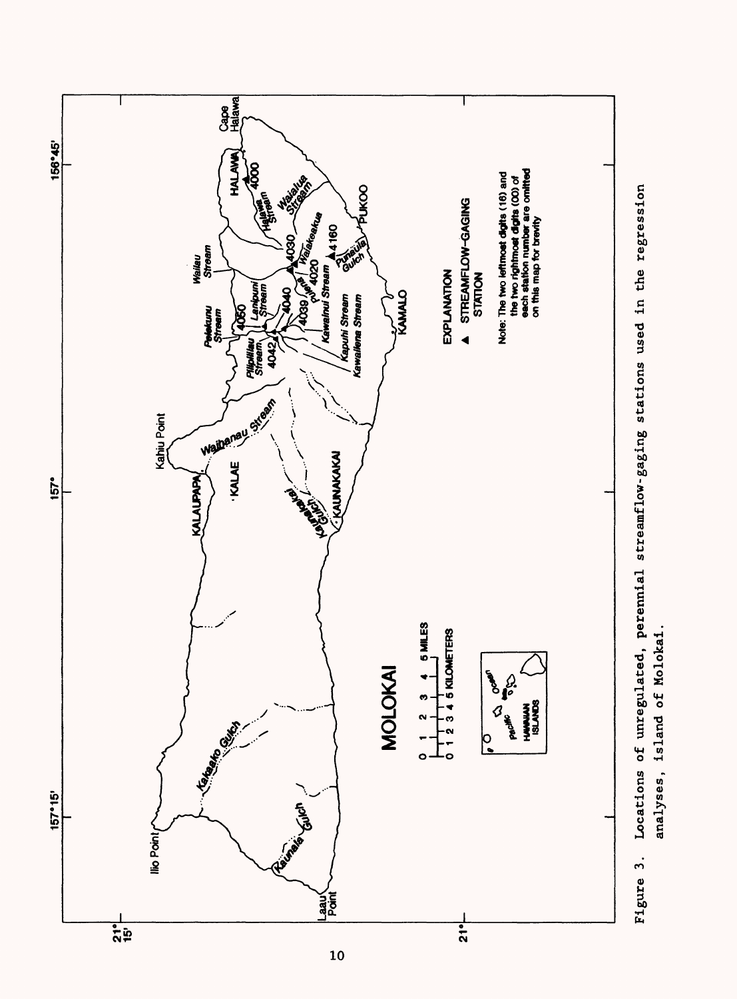

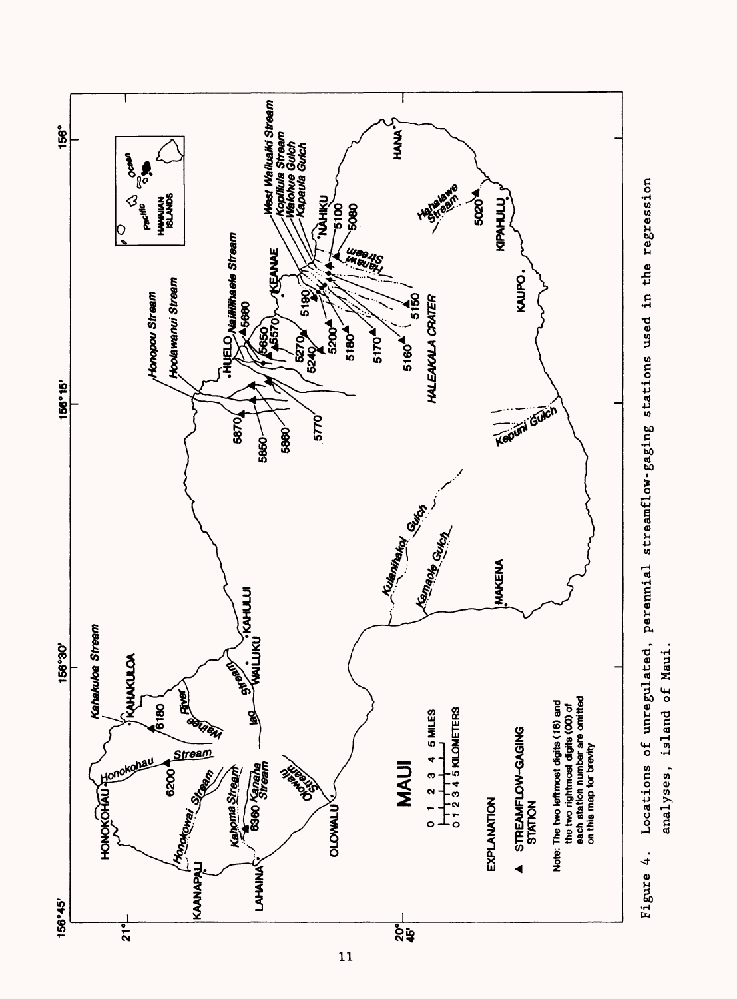

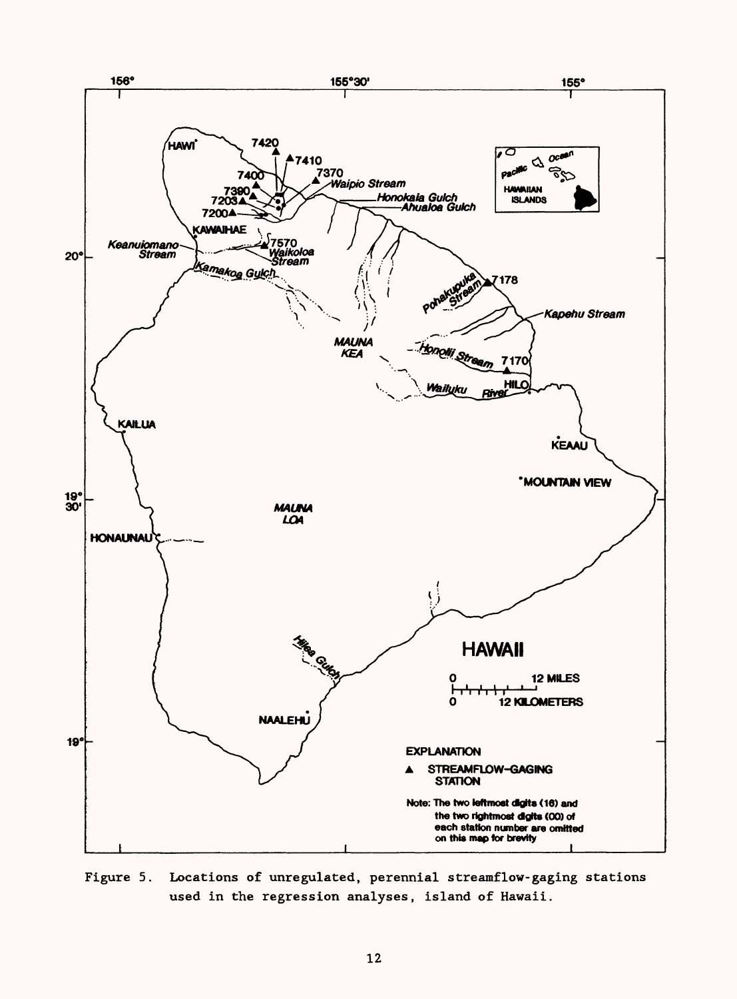

Figure 5. Locations of unregulated, perennial streamflow-gaging stations used in the regression analyses, island of Hawaii.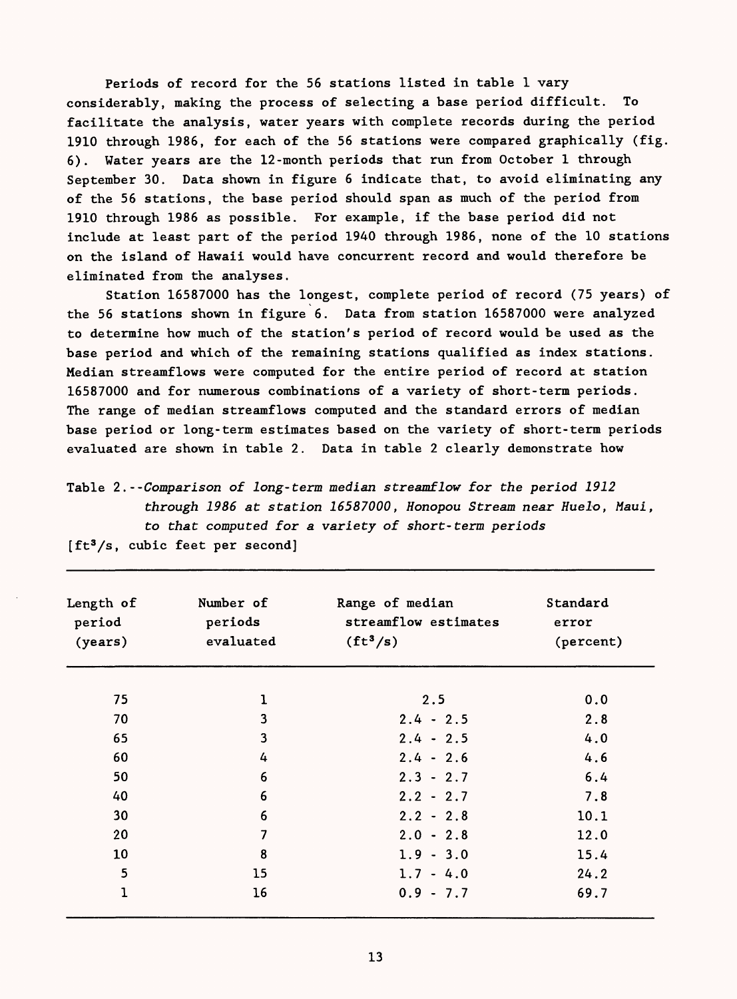Periods of record for the 56 stations listed in table 1 vary considerably, making the process of selecting a base period difficult. To facilitate the analysis, water years with complete records during the period 1910 through 1986, for each of the 56 stations were compared graphically (fig. 6). Water years are the 12-month periods that run from October 1 through September 30. Data shown in figure 6 indicate that, to avoid eliminating any of the 56 stations, the base period should span as much of the period from 1910 through 1986 as possible. For example, if the base period did not include at least part of the period 1940 through 1986, none of the 10 stations on the island of Hawaii would have concurrent record and would therefore be eliminated from the analyses.

Station 16587000 has the longest, complete period of record (75 years) of the 56 stations shown in figure 6. Data from station 16587000 were analyzed to determine how much of the station's period of record would be used as the base period and which of the remaining stations qualified as index stations. Median streamflows were computed for the entire period of record at station 16587000 and for numerous combinations of a variety of short-term periods. The range of median streamflows computed and the standard errors of median base period or long-term estimates based on the variety of short-term periods evaluated are shown in table 2. Data in table 2 clearly demonstrate how

Table 2.--Comparison of long-term median streamflow for the period 1912 through 1986 at station 16587000, Honopou Stream near Huelo, Maui, to that computed for a variety of short-term periods

| Length of<br>period<br>(years) | Number of<br>periods<br>evaluated | Range of median<br>streamflow estimates<br>$(ft^3/s)$ | Standard<br>error<br>(percent) |
|--------------------------------|-----------------------------------|-------------------------------------------------------|--------------------------------|
| 75                             | 1                                 | 2.5                                                   | 0.0                            |
| 70                             | 3                                 | $2.4 - 2.5$                                           | 2.8                            |
| 65                             | 3                                 | $2.4 - 2.5$                                           | 4.0                            |
| 60                             | 4                                 | $2.4 - 2.6$                                           | 4.6                            |
| 50                             | 6                                 | $2.3 - 2.7$                                           | 6.4                            |
| 40                             | 6                                 | $2.2 - 2.7$                                           | 7.8                            |
| 30                             | 6                                 | $2.2 - 2.8$                                           | 10.1                           |
| 20                             | 7                                 | $2.0 - 2.8$                                           | 12.0                           |
| 10                             | 8                                 | $1.9 - 3.0$                                           | 15.4                           |
| 5                              | 15                                | $1.7 - 4.0$                                           | 24.2                           |
| $\overline{1}$                 | 16                                | $0.9 - 7.7$                                           | 69.7                           |

 $[ft<sup>3</sup>/s, cubic feet per second]$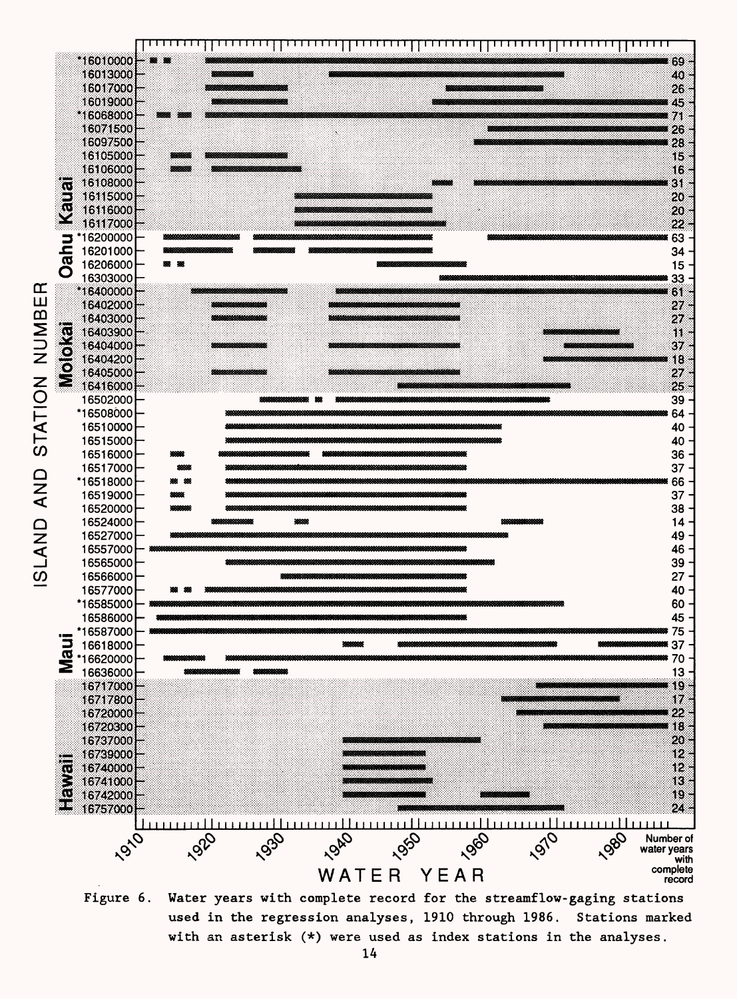

**Figure 6. Water years with complete record for the streamflow-gaging stations used in the regression analyses, 1910 through 1986. Stations marked with an asterisk (\*) were used as index stations in the analyses.**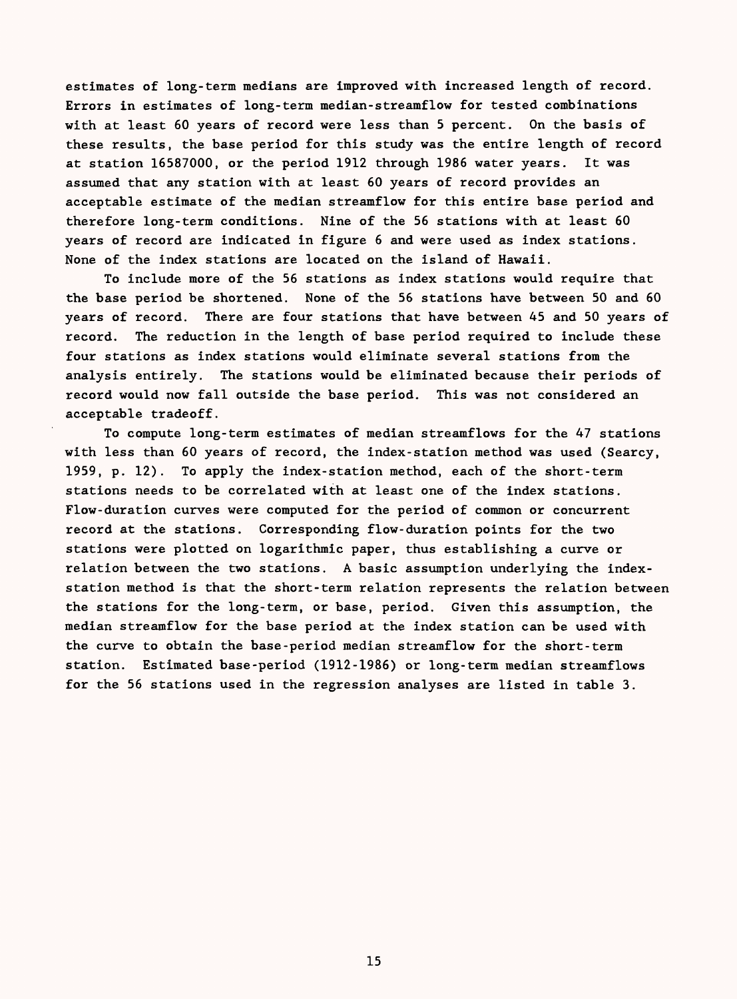estimates of long-term medians are improved with increased length of record. Errors in estimates of long-term median-streamflow for tested combinations with at least 60 years of record were less than 5 percent. On the basis of these results, the base period for this study was the entire length of record at station 16587000, or the period 1912 through 1986 water years. It was assumed that any station with at least 60 years of record provides an acceptable estimate of the median streamflow for this entire base period and therefore long-term conditions. Nine of the 56 stations with at least 60 years of record are indicated in figure 6 and were used as index stations. None of the index stations are located on the island of Hawaii.

To include more of the 56 stations as index stations would require that the base period be shortened. None of the 56 stations have between 50 and 60 years of record. There are four stations that have between 45 and 50 years of record. The reduction in the length of base period required to include these four stations as index stations would eliminate several stations from the analysis entirely. The stations would be eliminated because their periods of record would now fall outside the base period. This was not considered an acceptable tradeoff.

To compute long-term estimates of median streamflows for the 47 stations with less than 60 years of record, the index-station method was used (Searcy, 1959, p. 12). To apply the index-station method, each of the short-term stations needs to be correlated with at least one of the index stations. Flow-duration curves were computed for the period of common or concurrent record at the stations. Corresponding flow-duration points for the two stations were plotted on logarithmic paper, thus establishing a curve or relation between the two stations. A basic assumption underlying the indexstation method is that the short-term relation represents the relation between the stations for the long-term, or base, period. Given this assumption, the median streamflow for the base period at the index station can be used with the curve to obtain the base-period median streamflow for the short-term station. Estimated base-period (1912-1986) or long-term median streamflows for the 56 stations used in the regression analyses are listed in table 3.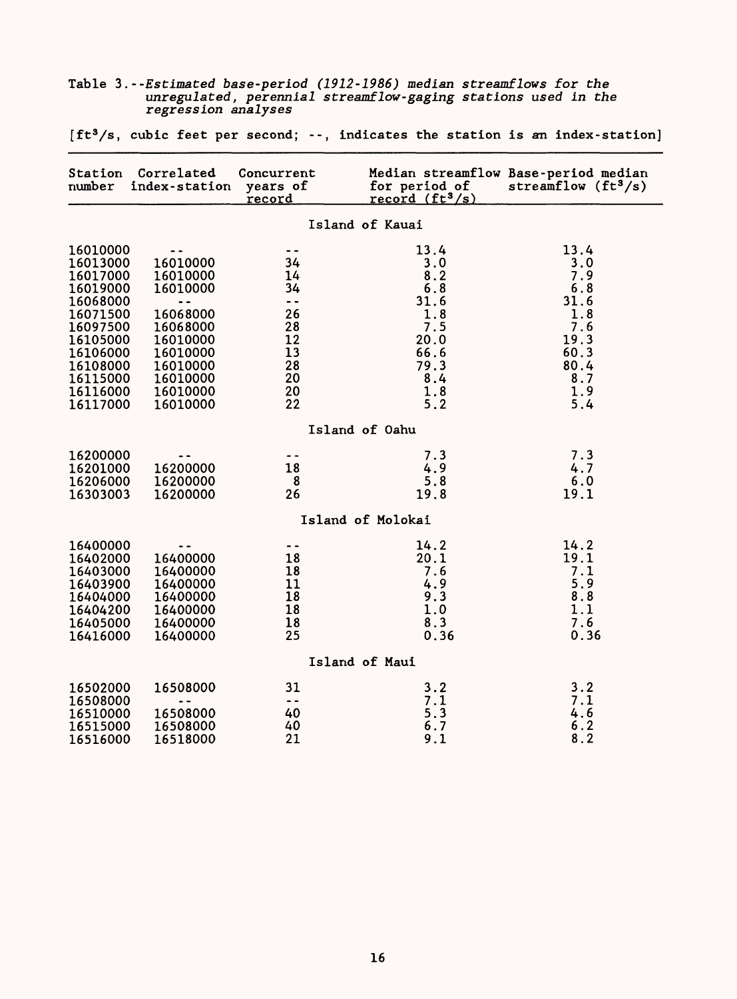| Station<br>number    | Correlated<br>index-station | Concurrent<br>years of<br><u>record</u> | for period of<br>record $(ft^3/s)$ | Median streamflow Base-period median<br>streamflow $(ft^3/s)$ |
|----------------------|-----------------------------|-----------------------------------------|------------------------------------|---------------------------------------------------------------|
|                      |                             |                                         | Island of Kauai                    |                                                               |
| 16010000             |                             |                                         | 13.4                               | 13.4                                                          |
| 16013000             | 16010000                    | 34                                      | 3.0                                | 3.0                                                           |
| 16017000             | 16010000                    | 14                                      | 8.2                                | 7.9                                                           |
| 16019000             | 16010000                    | 34                                      | 6.8                                | 6.8                                                           |
| 16068000             | $\overline{\phantom{a}}$    | $\ddot{\phantom{1}}$<br>26              | 31.6                               | 31.6                                                          |
| 16071500<br>16097500 | 16068000<br>16068000        | 28                                      | 1.8<br>7.5                         | 1.8<br>7.6                                                    |
| 16105000             | 16010000                    | 12                                      | 20.0                               | 19.3                                                          |
| 16106000             | 16010000                    | 13                                      | 66.6                               | 60.3                                                          |
| 16108000             | 16010000                    | 28                                      | 79.3                               | 80.4                                                          |
| 16115000             | 16010000                    | 20                                      | 8.4                                | 8.7                                                           |
| 16116000             | 16010000                    | 20                                      | 1.8                                | 1.9                                                           |
| 16117000             | 16010000                    | 22                                      | 5.2                                | 5.4                                                           |
|                      |                             |                                         | Island of Oahu                     |                                                               |
| 16200000             | $\overline{\phantom{a}}$    | $\ddot{\phantom{1}}$                    | 7.3                                | 7.3                                                           |
| 16201000             | 16200000                    | 18                                      | 4.9                                | 4.7                                                           |
| 16206000             | 16200000                    | 8                                       | 5.8                                | 6.0                                                           |
| 16303003             | 16200000                    | 26                                      | 19.8                               | 19.1                                                          |
|                      |                             |                                         | Island of Molokai                  |                                                               |
| 16400000             |                             | $\overline{\phantom{a}}$                | 14.2                               | 14.2                                                          |
| 16402000             | 16400000                    | 18                                      | 20.1                               | 19.1                                                          |
| 16403000             | 16400000                    | 18                                      | 7.6                                | 7.1                                                           |
| 16403900             | 16400000                    | 11                                      | 4.9                                | 5.9                                                           |
| 16404000             | 16400000                    | 18                                      | 9.3                                | 8.8                                                           |
| 16404200             | 16400000                    | 18                                      | 1.0                                | 1.1                                                           |
| 16405000             | 16400000                    | 18<br>25                                | 8.3                                | 7.6                                                           |
| 16416000             | 16400000                    |                                         | 0.36                               | 0.36                                                          |
|                      |                             |                                         | Island of Maui                     |                                                               |
| 16502000             | 16508000                    | 31                                      | 3.2                                | 3.2                                                           |
| 16508000             | - -                         | $\overline{\phantom{a}}$                | 7.1                                | 7.1                                                           |
| 16510000             | 16508000                    | 40                                      | 5.3                                | 4.6                                                           |
| 16515000             | 16508000                    | 40                                      | 6.7                                | 6.2                                                           |
| 16516000             | 16518000                    | 21                                      | 9.1                                | 8.2                                                           |

Table 3.--Estimated base-period (1912-1986) median streamflows for the unregulated, perennial streamflow-gaging stations used in the regression analyses

 $[ft<sup>3</sup>/s, cubic feet per second; --, indicates the station is an index-station]$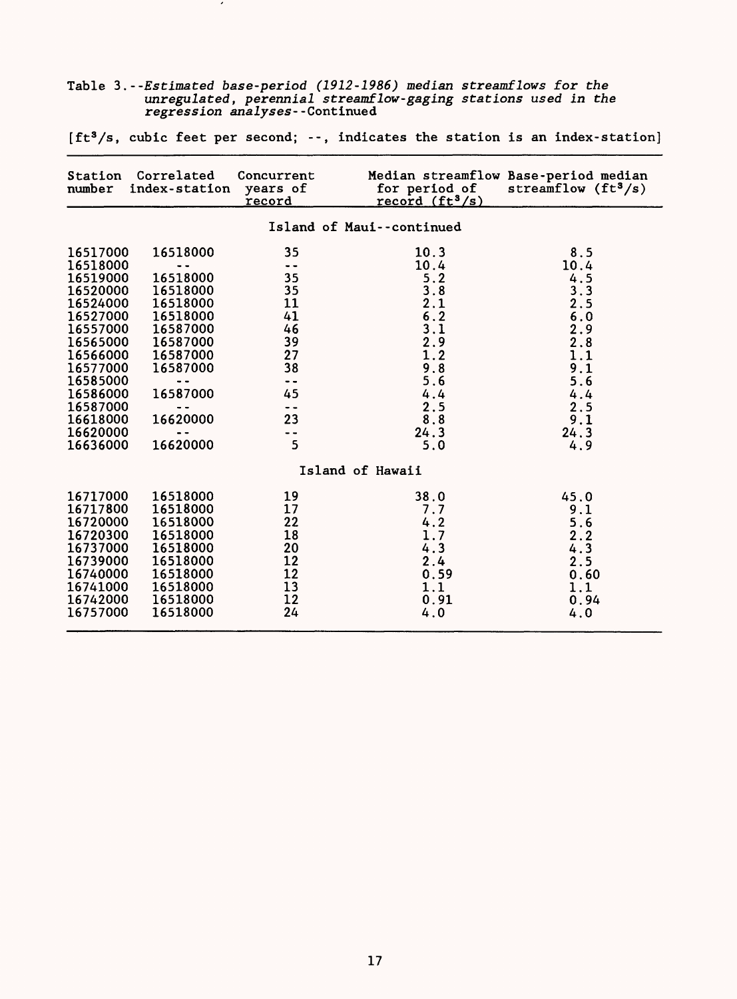|                                                                                                                                                                      |                                                                                                                                             |                                                                                                                              | $[It'/s, cubic$ reet per second; --, indicates the station is an index-station $[$                    |                                                                                                   |
|----------------------------------------------------------------------------------------------------------------------------------------------------------------------|---------------------------------------------------------------------------------------------------------------------------------------------|------------------------------------------------------------------------------------------------------------------------------|-------------------------------------------------------------------------------------------------------|---------------------------------------------------------------------------------------------------|
| number                                                                                                                                                               | Station Correlated<br>index-station                                                                                                         | Concurrent<br>years of<br>record                                                                                             | for period of<br>record $(ft^3/s)$                                                                    | Median streamflow Base-period median<br>streamflow $(ft3/s)$                                      |
|                                                                                                                                                                      |                                                                                                                                             |                                                                                                                              | Island of Maui--continued                                                                             |                                                                                                   |
| 16517000<br>16518000<br>16519000<br>16520000<br>16524000<br>16527000<br>16557000<br>16565000<br>16566000<br>16577000<br>16585000<br>16586000<br>16587000<br>16618000 | 16518000<br>- -<br>16518000<br>16518000<br>16518000<br>16518000<br>16587000<br>16587000<br>16587000<br>16587000<br><br>16587000<br>16620000 | 35<br>$\overline{\phantom{a}}$<br>35<br>35<br>11<br>41<br>46<br>39<br>27<br>38<br>$\sim$ $\sim$<br>45<br>$\sim$ $\sim$<br>23 | 10.3<br>10.4<br>5.2<br>$3.8$<br>$2.1$<br>$6.2$<br>$2.1$<br>$2.8$<br>$9.8$<br>5.6<br>4.4<br>2.5<br>8.8 | 8.5<br>10.4<br>4.5<br>3.3<br>$2.5$<br>6.0<br>2.9<br>2.8<br>1.1<br>9.1<br>5.6<br>4.4<br>2.5<br>9.1 |
| 16620000<br>16636000                                                                                                                                                 | 16620000                                                                                                                                    | $\overline{\phantom{a}}$<br>5                                                                                                | 24.3<br>5.0                                                                                           | 24.3<br>4.9                                                                                       |
|                                                                                                                                                                      |                                                                                                                                             |                                                                                                                              | Island of Hawaii                                                                                      |                                                                                                   |
| 16717000<br>16717800<br>16720000<br>16720300<br>16737000<br>16739000<br>16740000<br>16741000<br>16742000<br>16757000                                                 | 16518000<br>16518000<br>16518000<br>16518000<br>16518000<br>16518000<br>16518000<br>16518000<br>16518000<br>16518000                        | 19<br>17<br>22<br>18<br>20<br>12<br>12<br>13<br>12<br>24                                                                     | 38.0<br>7.7<br>4.2<br>1.7<br>4.3<br>2.4<br>0.59<br>1.1<br>0.91<br>4.0                                 | 45.0<br>9.1<br>5.6<br>2.2<br>4.3<br>2.5<br>0.60<br>1.1<br>0.94<br>4.0                             |

Table 3. --Estimated base-period (1912-1986) median streamflows for the unregulated, perennial streamflow-gaging stations used in the regression analyses--Continued

 $\overline{\phantom{a}}$ 

[ft $^{\mathrm{3}}\!/$ s, cubic feet per second; --, indicates the station is an index-station]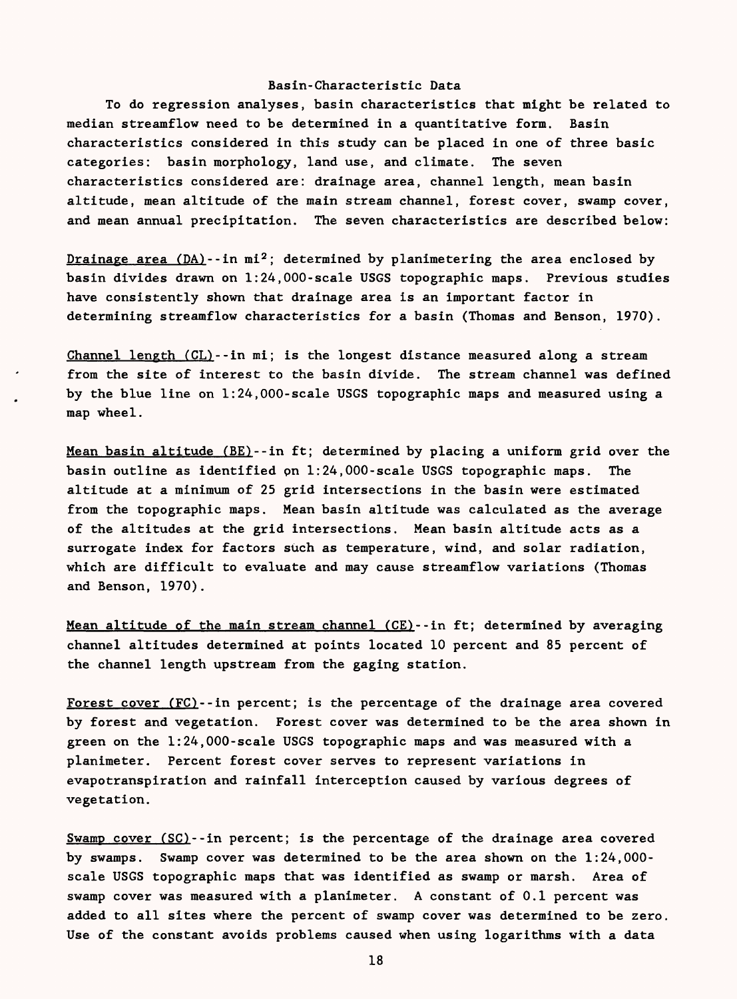### Basin-Characteristic Data

To do regression analyses, basin characteristics that might be related to median streamflow need to be determined in a quantitative form. Basin characteristics considered in this study can be placed in one of three basic categories: basin morphology, land use, and climate. The seven characteristics considered are: drainage area, channel length, mean basin altitude, mean altitude of the main stream channel, forest cover, swamp cover, and mean annual precipitation. The seven characteristics are described below:

Drainage area  $(DA)$ --in mi<sup>2</sup>; determined by planimetering the area enclosed by basin divides drawn on 1:24,000-scale USGS topographic maps. Previous studies have consistently shown that drainage area is an important factor in determining streamflow characteristics for a basin (Thomas and Benson, 1970).

Channel length (CL)--in mi; is the longest distance measured along a stream from the site of interest to the basin divide. The stream channel was defined by the blue line on 1:24,000-scale USGS topographic maps and measured using a map wheel.

Mean basin altitude (BE)--in ft; determined by placing a uniform grid over the basin outline as identified pn 1:24,000-scale USGS topographic maps. The altitude at a minimum of 25 grid intersections in the basin were estimated from the topographic maps. Mean basin altitude was calculated as the average of the altitudes at the grid intersections. Mean basin altitude acts as a surrogate index for factors such as temperature, wind, and solar radiation, which are difficult to evaluate and may cause streamflow variations (Thomas and Benson, 1970).

Mean altitude of the main stream channel (CE)--in ft; determined by averaging channel altitudes determined at points located 10 percent and 85 percent of the channel length upstream from the gaging station.

Forest cover (FC)--in percent; is the percentage of the drainage area covered by forest and vegetation. Forest cover was determined to be the area shown in green on the 1:24,000-scale USGS topographic maps and was measured with a planimeter. Percent forest cover serves to represent variations in evapotranspiration and rainfall interception caused by various degrees of vegetation.

Swamp cover (SO--in percent; is the percentage of the drainage area covered by swamps. Swamp cover was determined to be the area shown on the 1:24,000 scale USGS topographic maps that was identified as swamp or marsh. Area of swamp cover was measured with a planimeter. A constant of 0.1 percent was added to all sites where the percent of swamp cover was determined to be zero. Use of the constant avoids problems caused when using logarithms with a data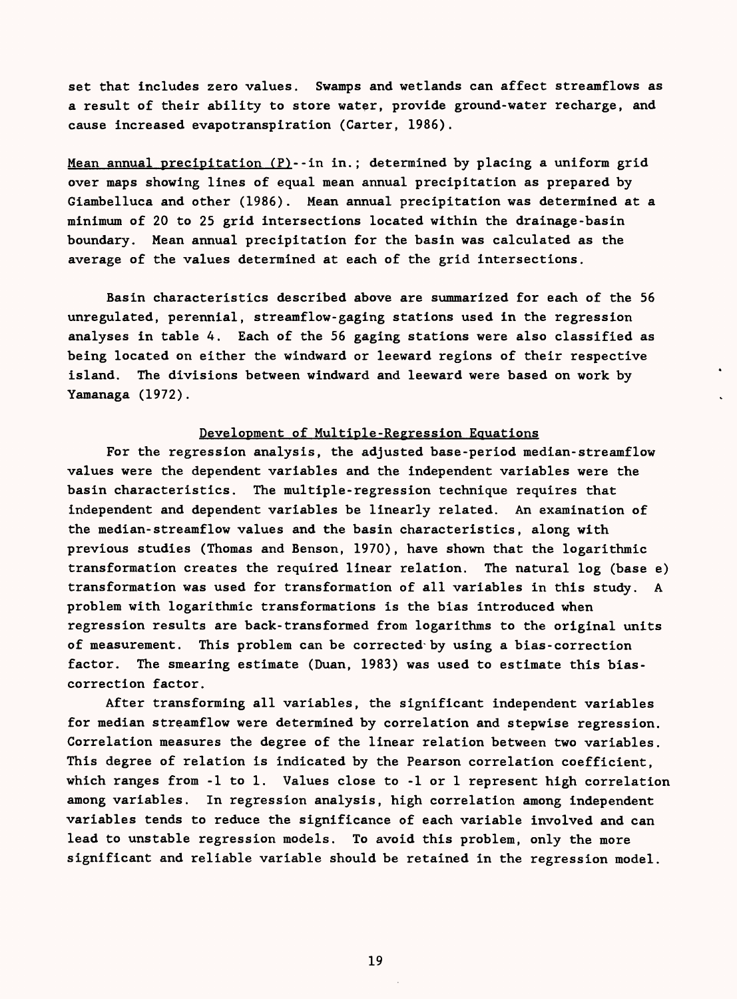set that includes zero values. Swamps and wetlands can affect streamflows as a result of their ability to store water, provide ground-water recharge, and cause increased evapotranspiration (Carter, 1986).

Mean annual precipitation  $(P)$ --in in.; determined by placing a uniform grid over maps showing lines of equal mean annual precipitation as prepared by Giambelluca and other (1986). Mean annual precipitation was determined at a minimum of 20 to 25 grid intersections located within the drainage-basin boundary. Mean annual precipitation for the basin was calculated as the average of the values determined at each of the grid intersections.

Basin characteristics described above are summarized for each of the 56 unregulated, perennial, streamflow-gaging stations used in the regression analyses in table 4. Each of the 56 gaging stations were also classified as being located on either the windward or leeward regions of their respective island. The divisions between windward and leeward were based on work by Yamanaga (1972).

# Development of Multiple-Regression Equations

For the regression analysis, the adjusted base-period median-streamflow values were the dependent variables and the independent variables were the basin characteristics. The multiple-regression technique requires that independent and dependent variables be linearly related. An examination of the median-streamflow values and the basin characteristics, along with previous studies (Thomas and Benson, 1970), have shown that the logarithmic transformation creates the required linear relation. The natural log (base e) transformation was used for transformation of all variables in this study. A problem with logarithmic transformations is the bias introduced when regression results are back-transformed from logarithms to the original units of measurement. This problem can be corrected by using a bias-correction factor. The smearing estimate (Duan, 1983) was used to estimate this biascorrection factor.

After transforming all variables, the significant independent variables for median streamflow were determined by correlation and stepwise regression. Correlation measures the degree of the linear relation between two variables. This degree of relation is indicated by the Pearson correlation coefficient, which ranges from -1 to 1. Values close to -1 or 1 represent high correlation among variables. In regression analysis, high correlation among independent variables tends to reduce the significance of each variable involved and can lead to unstable regression models. To avoid this problem, only the more significant and reliable variable should be retained in the regression model.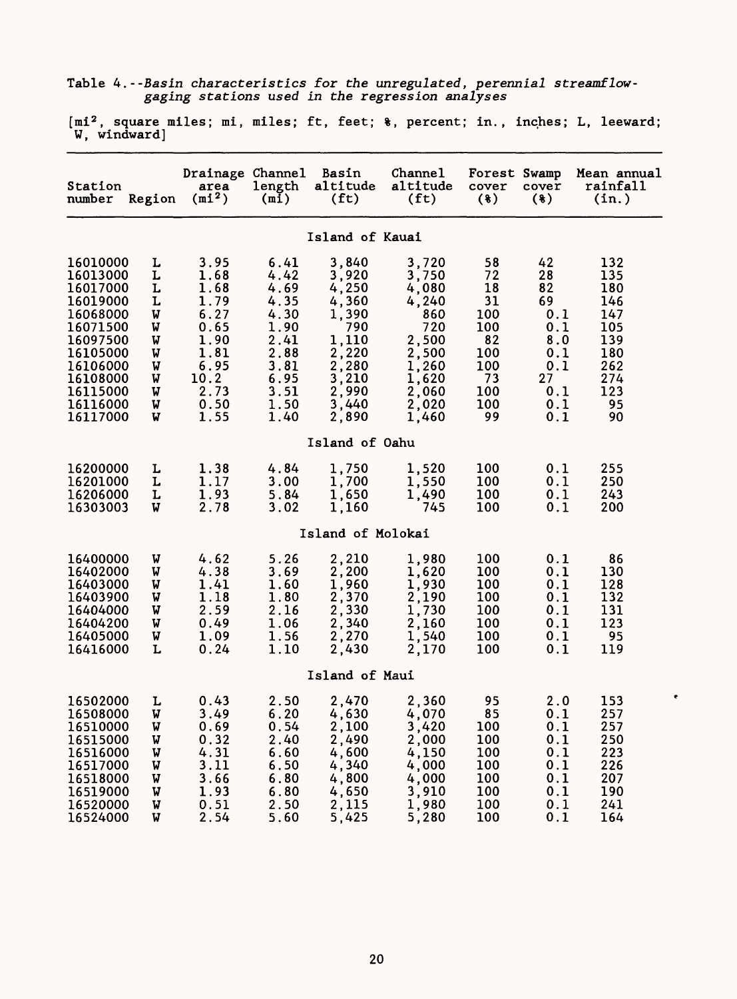Table 4.--Basin characteristics for the unregulated, perennial streamflowgaging stations used in the regression analyses

[mi2 , square miles; mi, miles; ft, feet; %, percent; in., inches; L, leeward; W, windward]

| Station<br>number                                                                                                                                        | Region                                                        | Drainage Channel<br>area<br>$(m1^2)$                                                                 | length<br>(m1)                                                                                       | <b>Basin</b><br>altitude<br>(f <sub>t</sub> )                                                                   | Channel<br>altitude<br>(f <sub>t</sub> )                                                                      | Forest Swamp<br>cover<br>(3)                                                     | cover<br>(8)                                                                       | Mean annual<br>rainfall<br>(in.)                                                      |
|----------------------------------------------------------------------------------------------------------------------------------------------------------|---------------------------------------------------------------|------------------------------------------------------------------------------------------------------|------------------------------------------------------------------------------------------------------|-----------------------------------------------------------------------------------------------------------------|---------------------------------------------------------------------------------------------------------------|----------------------------------------------------------------------------------|------------------------------------------------------------------------------------|---------------------------------------------------------------------------------------|
|                                                                                                                                                          |                                                               |                                                                                                      |                                                                                                      | Island of Kauai                                                                                                 |                                                                                                               |                                                                                  |                                                                                    |                                                                                       |
| 16010000<br>16013000<br>16017000<br>16019000<br>16068000<br>16071500<br>16097500<br>16105000<br>16106000<br>16108000<br>16115000<br>16116000<br>16117000 | L<br>L<br>L<br>L<br>W<br>W<br>W<br>W<br>W<br>W<br>W<br>W<br>W | 3.95<br>1.68<br>1.68<br>1.79<br>6.27<br>0.65<br>1.90<br>1.81<br>6.95<br>10.2<br>2.73<br>0.50<br>1.55 | 6.41<br>4.42<br>4.69<br>4.35<br>4.30<br>1.90<br>2.41<br>2.88<br>3.81<br>6.95<br>3.51<br>1.50<br>1.40 | 3,840<br>3,920<br>4,250<br>4,360<br>1,390<br>790<br>1,110<br>2,220<br>2,280<br>3,210<br>2,990<br>3,440<br>2,890 | 3,720<br>3,750<br>4,080<br>4,240<br>860<br>720<br>2,500<br>2,500<br>1,260<br>1,620<br>2,060<br>2,020<br>1.460 | 58<br>72<br>18<br>31<br>100<br>100<br>82<br>100<br>100<br>73<br>100<br>100<br>99 | 42<br>28<br>82<br>69<br>0.1<br>0.1<br>8.0<br>0.1<br>0.1<br>27<br>0.1<br>0.1<br>0.1 | 132<br>135<br>180<br>146<br>147<br>105<br>139<br>180<br>262<br>274<br>123<br>95<br>90 |
|                                                                                                                                                          |                                                               |                                                                                                      |                                                                                                      | Island of Oahu                                                                                                  |                                                                                                               |                                                                                  |                                                                                    |                                                                                       |
| 16200000<br>16201000<br>16206000<br>16303003                                                                                                             | L<br>L<br>L<br>W                                              | 1.38<br>1.17<br>1.93<br>2.78                                                                         | 4.84<br>3.00<br>5.84<br>3.02                                                                         | 1,750<br>1,700<br>1,650<br>1,160                                                                                | 1,520<br>1,550<br>1.490<br>745                                                                                | 100<br>100<br>100<br>100                                                         | 0.1<br>0.1<br>0.1<br>0.1                                                           | 255<br>250<br>243<br>200                                                              |
|                                                                                                                                                          |                                                               |                                                                                                      |                                                                                                      | Island of Molokai                                                                                               |                                                                                                               |                                                                                  |                                                                                    |                                                                                       |
| 16400000<br>16402000<br>16403000<br>16403900<br>16404000<br>16404200<br>16405000<br>16416000                                                             | W<br>W<br>W<br>W<br>W<br>W<br>W<br>L                          | 4.62<br>4.38<br>1.41<br>1.18<br>2.59<br>0.49<br>1.09<br>0.24                                         | 5.26<br>3.69<br>1.60<br>1.80<br>2.16<br>1.06<br>1.56<br>1.10                                         | 2,210<br>2,200<br>1,960<br>2,370<br>2,330<br>2,340<br>2,270<br>2,430                                            | 1,980<br>1,620<br>1,930<br>2,190<br>1,730<br>2,160<br>1,540<br>2,170                                          | 100<br>100<br>100<br>100<br>100<br>100<br>100<br>100                             | 0.1<br>0.1<br>0.1<br>0.1<br>0.1<br>0.1<br>0.1<br>0.1                               | 86<br>130<br>128<br>132<br>131<br>123<br>95<br>119                                    |
|                                                                                                                                                          |                                                               |                                                                                                      |                                                                                                      | Island of Maui                                                                                                  |                                                                                                               |                                                                                  |                                                                                    |                                                                                       |
| 16502000<br>16508000<br>16510000<br>16515000<br>16516000<br>16517000<br>16518000<br>16519000<br>16520000<br>16524000                                     | L<br>W<br>W<br>W<br>W<br>W<br>W<br>W<br>W<br>W                | 0.43<br>3.49<br>0.69<br>0.32<br>4.31<br>3.11<br>3.66<br>1.93<br>0.51<br>2.54                         | 2.50<br>6.20<br>0.54<br>2.40<br>6.60<br>6.50<br>6.80<br>6.80<br>2.50<br>5.60                         | 2,470<br>4,630<br>2,100<br>2,490<br>4,600<br>4,340<br>4,800<br>4,650<br>2,115<br>5,425                          | 2,360<br>4,070<br>3,420<br>2,000<br>4,150<br>4,000<br>4,000<br>3,910<br>1,980<br>5,280                        | 95<br>85<br>100<br>100<br>100<br>100<br>100<br>100<br>100<br>100                 | 2.0<br>0.1<br>0.1<br>0.1<br>0.1<br>0.1<br>0.1<br>0.1<br>0.1<br>0.1                 | 153<br>257<br>257<br>250<br>223<br>226<br>207<br>190<br>241<br>164                    |

 $\bullet$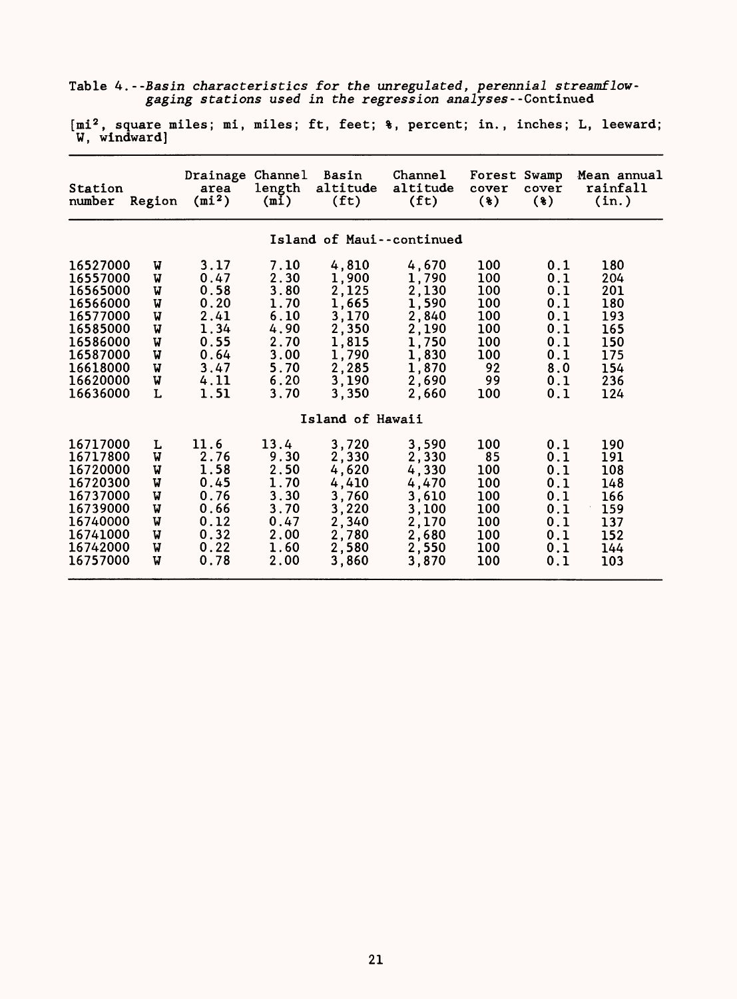|  |  |  |  |                                                            | Table 4.--Basin characteristics for the unregulated, perennial streamflow- |
|--|--|--|--|------------------------------------------------------------|----------------------------------------------------------------------------|
|  |  |  |  | gaging stations used in the regression analyses--Continued |                                                                            |

[mi $^2$ , square miles; mi, miles; ft, feet;  $\ast$ , percent; in., inches; L, leeward; W, windward]

| Station<br>number                                                                                                                | Region                                              | Drainage Channel<br>area<br>$(mi^2)$                                                 | length<br>(mi)                                                                       | Basin<br>altitude<br>(f <sub>t</sub> )                                                          | Channel<br>altitude<br>(f <sub>t</sub> )                                                        | Forest Swamp<br>cover<br>$(*)$                                          | cover<br>$(*)$                                                            | Mean annual<br>rainfall<br>(in.)                                          |
|----------------------------------------------------------------------------------------------------------------------------------|-----------------------------------------------------|--------------------------------------------------------------------------------------|--------------------------------------------------------------------------------------|-------------------------------------------------------------------------------------------------|-------------------------------------------------------------------------------------------------|-------------------------------------------------------------------------|---------------------------------------------------------------------------|---------------------------------------------------------------------------|
|                                                                                                                                  |                                                     |                                                                                      |                                                                                      |                                                                                                 | Island of Maui--continued                                                                       |                                                                         |                                                                           |                                                                           |
| 16527000<br>16557000<br>16565000<br>16566000<br>16577000<br>16585000<br>16586000<br>16587000<br>16618000<br>16620000<br>16636000 | W<br>W<br>W<br>W<br>W<br>W<br>W<br>V<br>W<br>W<br>L | 3.17<br>0.47<br>0.58<br>0.20<br>2.41<br>1.34<br>0.55<br>0.64<br>3.47<br>4.11<br>1.51 | 7.10<br>2.30<br>3.80<br>1.70<br>6.10<br>4.90<br>2.70<br>3.00<br>5.70<br>6.20<br>3.70 | 4,810<br>1,900<br>2,125<br>1,665<br>3,170<br>2,350<br>1,815<br>1,790<br>2,285<br>3,190<br>3,350 | 4,670<br>1,790<br>2,130<br>1,590<br>2,840<br>2,190<br>1,750<br>1,830<br>1,870<br>2,690<br>2,660 | 100<br>100<br>100<br>100<br>100<br>100<br>100<br>100<br>92<br>99<br>100 | 0.1<br>0.1<br>0.1<br>0.1<br>0.1<br>0.1<br>0.1<br>0.1<br>8.0<br>0.1<br>0.1 | 180<br>204<br>201<br>180<br>193<br>165<br>150<br>175<br>154<br>236<br>124 |
| Island of Hawaii                                                                                                                 |                                                     |                                                                                      |                                                                                      |                                                                                                 |                                                                                                 |                                                                         |                                                                           |                                                                           |
| 16717000<br>16717800<br>16720000<br>16720300<br>16737000<br>16739000<br>16740000<br>16741000<br>16742000<br>16757000             | L<br>V<br>V<br>W<br>W<br>W<br>W<br>W<br>W<br>v      | 11.6<br>2.76<br>1.58<br>0.45<br>0.76<br>0.66<br>0.12<br>0.32<br>0.22<br>0.78         | 13.4<br>9.30<br>2.50<br>1.70<br>3.30<br>3.70<br>0.47<br>2.00<br>1.60<br>2.00         | 3,720<br>2,330<br>4,620<br>4,410<br>3,760<br>3,220<br>2,340<br>2,780<br>2,580<br>3,860          | 3,590<br>2,330<br>4,330<br>4,470<br>3,610<br>3,100<br>2,170<br>2,680<br>2,550<br>3,870          | 100<br>85<br>100<br>100<br>100<br>100<br>100<br>100<br>100<br>100       | 0.1<br>0.1<br>0.1<br>0.1<br>0.1<br>0.1<br>0.1<br>0.1<br>0.1<br>0.1        | 190<br>191<br>108<br>148<br>166<br>159<br>137<br>152<br>144<br>103        |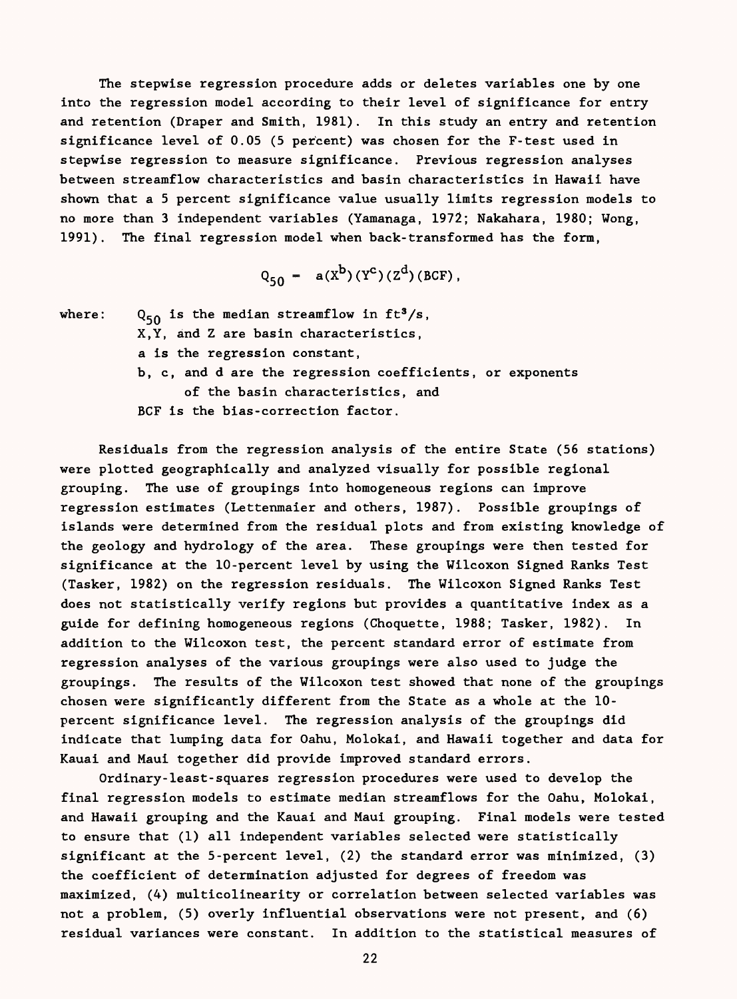The stepwise regression procedure adds or deletes variables one by one into the regression model according to their level of significance for entry and retention (Draper and Smith, 1981). In this study an entry and retention significance level of 0.05 (5 percent) was chosen for the F-test used in stepwise regression to measure significance. Previous regression analyses between streamflow characteristics and basin characteristics in Hawaii have shown that a 5 percent significance value usually limits regression models to no more than 3 independent variables (Yamanaga, 1972; Nakahara, 1980; Wong, 1991). The final regression model when back-transformed has the form,

$$
Q_{50} = a(X^{b})(Y^{c})(Z^{d})(BCF),
$$

where:  $Q_{50}$  is the median streamflow in ft<sup>3</sup>/s, X,Y, and Z are basin characteristics, a is the regression constant, b, c, and d are the regression coefficients, or exponents of the basin characteristics, and BCF is the bias-correction factor.

Residuals from the regression analysis of the entire State (56 stations) were plotted geographically and analyzed visually for possible regional grouping. The use of groupings into homogeneous regions can improve regression estimates (Lettenmaier and others, 1987). Possible groupings of islands were determined from the residual plots and from existing knowledge of the geology and hydrology of the area. These groupings were then tested for significance at the 10-percent level by using the Wilcoxon Signed Ranks Test (Tasker, 1982) on the regression residuals. The Wilcoxon Signed Ranks Test does not statistically verify regions but provides a quantitative index as a guide for defining homogeneous regions (Choquette, 1988; Tasker, 1982). In addition to the Wilcoxon test, the percent standard error of estimate from regression analyses of the various groupings were also used to judge the groupings. The results of the Wilcoxon test showed that none of the groupings chosen were significantly different from the State as a whole at the 10 percent significance level. The regression analysis of the groupings did indicate that lumping data for Oahu, Molokai, and Hawaii together and data for Kauai and Maui together did provide improved standard errors.

Ordinary-least-squares regression procedures were used to develop the final regression models to estimate median streamflows for the Oahu, Molokai, and Hawaii grouping and the Kauai and Maui grouping. Final models were tested to ensure that (1) all independent variables selected were statistically significant at the 5-percent level, (2) the standard error was minimized, (3) the coefficient of determination adjusted for degrees of freedom was maximized, (4) multicolinearity or correlation between selected variables was not a problem, (5) overly influential observations were not present, and (6) residual variances were constant. In addition to the statistical measures of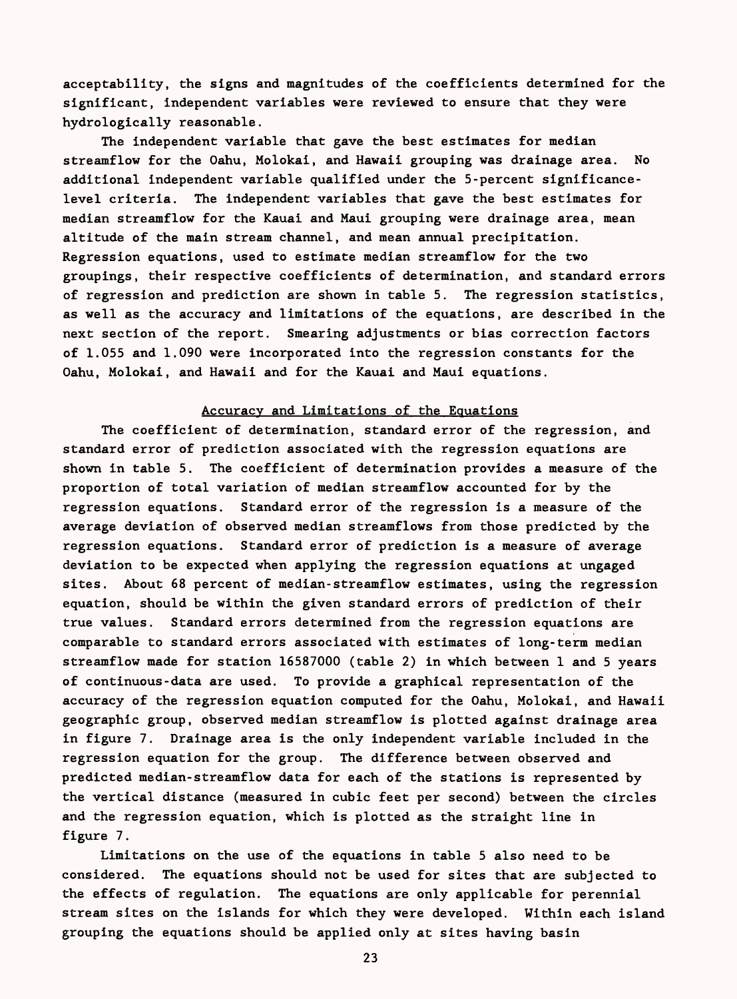acceptability, the signs and magnitudes of the coefficients determined for the significant, independent variables were reviewed to ensure that they were hydrologically reasonable.

The independent variable that gave the best estimates for median streamflow for the Oahu, Molokai, and Hawaii grouping was drainage area. No additional independent variable qualified under the 5-percent significancelevel criteria. The independent variables that gave the best estimates for median streamflow for the Kauai and Maui grouping were drainage area, mean altitude of the main stream channel, and mean annual precipitation. Regression equations, used to estimate median streamflow for the two groupings, their respective coefficients of determination, and standard errors of regression and prediction are shown in table 5. The regression statistics, as well as the accuracy and limitations of the equations, are described in the next section of the report. Smearing adjustments or bias correction factors of 1.055 and 1.090 were incorporated into the regression constants for the Oahu, Molokai, and Hawaii and for the Kauai and Maui equations.

#### Accuracy and Limitations of the Equations

The coefficient of determination, standard error of the regression, and standard error of prediction associated with the regression equations are shown in table 5. The coefficient of determination provides a measure of the proportion of total variation of median streamflow accounted for by the regression equations. Standard error of the regression is a measure of the average deviation of observed median streamflows from those predicted by the regression equations. Standard error of prediction is a measure of average deviation to be expected when applying the regression equations at ungaged sites. About 68 percent of median-streamflow estimates, using the regression equation, should be within the given standard errors of prediction of their true values. Standard errors determined from the regression equations are comparable to standard errors associated with estimates of long-term median streamflow made for station 16587000 (table 2) in which between 1 and 5 years of continuous-data are used. To provide a graphical representation of the accuracy of the regression equation computed for the Oahu, Molokai, and Hawaii geographic group, observed median streamflow is plotted against drainage area in figure 7. Drainage area is the only independent variable included in the regression equation for the group. The difference between observed and predicted median-streamflow data for each of the stations is represented by the vertical distance (measured in cubic feet per second) between the circles and the regression equation, which is plotted as the straight line in figure 7.

Limitations on the use of the equations in table 5 also need to be considered. The equations should not be used for sites that are subjected to the effects of regulation. The equations are only applicable for perennial stream sites on the islands for which they were developed. Within each island grouping the equations should be applied only at sites having basin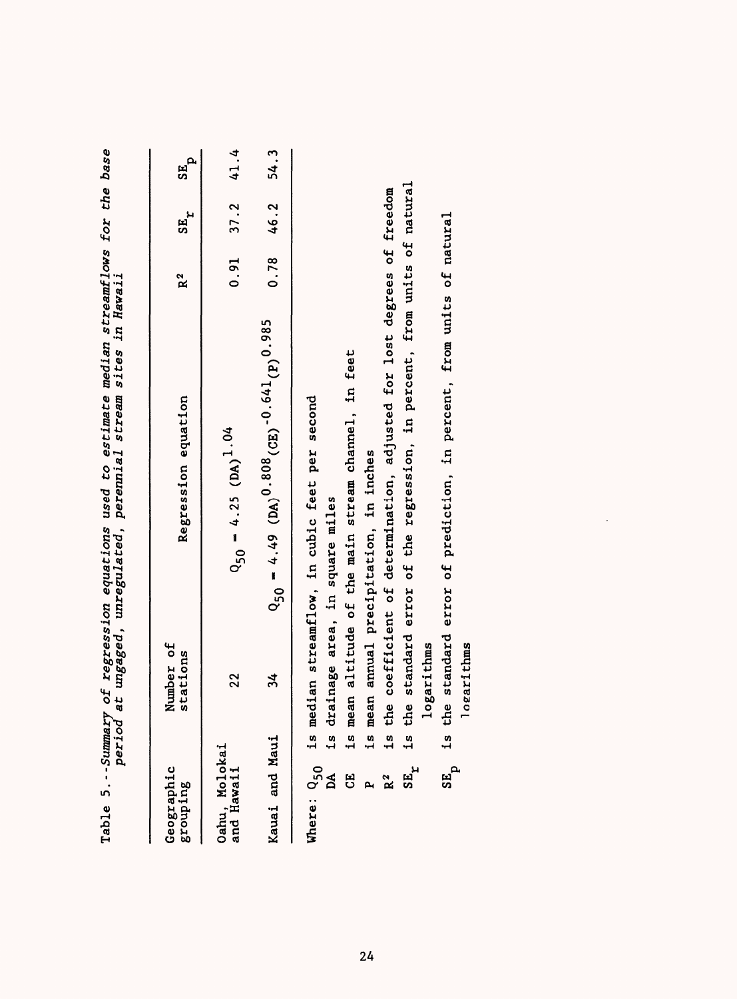| Geographic<br>grouping      | Number of<br>stations | Regression equation                                                                       | R <sup>2</sup> | $SE_T$ | $\sigma_{\rm BB}$ |
|-----------------------------|-----------------------|-------------------------------------------------------------------------------------------|----------------|--------|-------------------|
| Oahu, Molokai<br>and Hawaii | 22                    | $Q_{50} = 4.25 (DA)^{1.04}$                                                               | 0.91           | 37.2   | 41.4              |
| Kauai and Maui              | 34                    | $Q_{50} = 4.49 (DA)^{0.808} (CB)^{-0.641} (P)^{0.985}$                                    | 0.78           | 46.2   | 54.3              |
| Where: Q <sub>50</sub>      |                       | is median streamflow, in cubic feet per second                                            |                |        |                   |
| <b>ED</b>                   |                       | is mean altitude of the main stream channel, in feet<br>is drainage area, in square miles |                |        |                   |
| <b>آباد</b>                 |                       | is mean annual precipitation, in inches                                                   |                |        |                   |
| $R^2$                       |                       | is the coefficient of determination, adjusted for lost degrees of freedom                 |                |        |                   |
| $SE_r$                      | logarithms<br>1s      | the standard error of the regression, in percent, from units of natural                   |                |        |                   |
| $\mathbf{S}^{\mathbf{E}}$ p | ogarithms             | the standard error of prediction, in percent, from units of natural                       |                |        |                   |

 $\ddot{\phantom{a}}$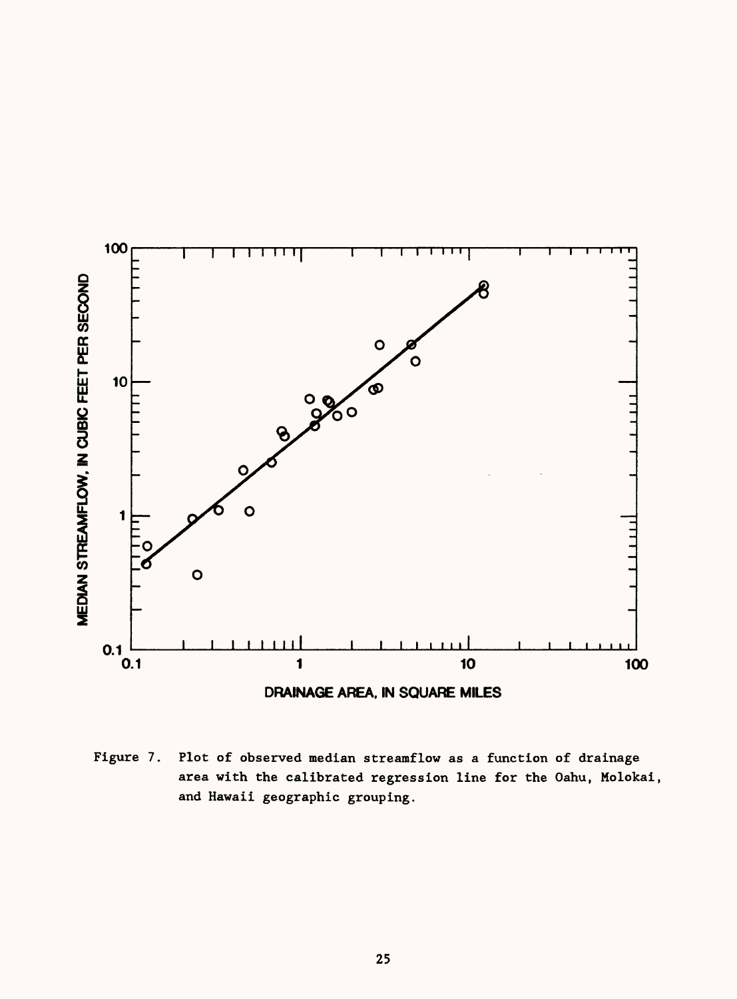

Figure 7. Plot of observed median streamflow as a function of drainage area with the calibrated regression line for the Oahu, Molokai, and Hawaii geographic grouping.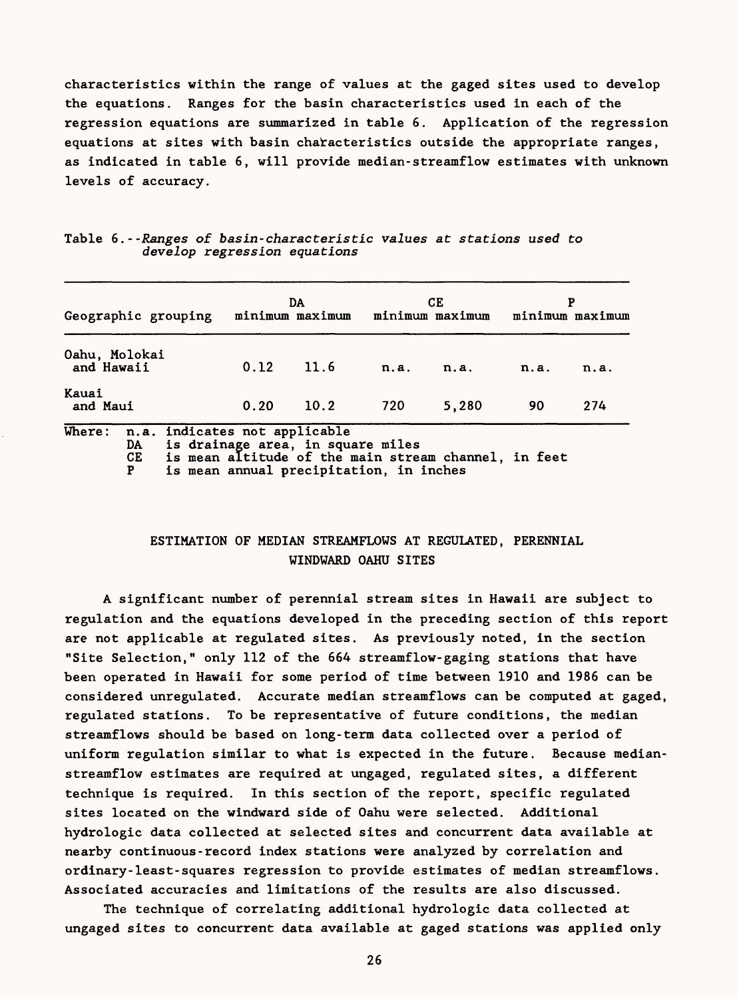characteristics within the range of values at the gaged sites used to develop the equations. Ranges for the basin characteristics used in each of the regression equations are summarized in table 6. Application of the regression equations at sites with basin characteristics outside the appropriate ranges, as indicated in table 6, will provide median-streamflow estimates with unknown levels of accuracy.

|                   | Geographic grouping                             |                                                                              | DA   |      | CЕ<br>minimum maximum minimum maximum                |      | minimum maximum |
|-------------------|-------------------------------------------------|------------------------------------------------------------------------------|------|------|------------------------------------------------------|------|-----------------|
| and Hawaii        | Oahu, Molokai                                   | 0.12                                                                         | 11.6 | n.a. | n.a.                                                 | n.a. | n.a.            |
| Kauai<br>and Maui |                                                 | 0.20                                                                         | 10.2 | 720  | 5.280                                                | 90   | 274             |
| Where:            | n.a. indicates not applicable<br>DA<br>CE.<br>P | is drainage area, in square miles<br>is mean annual precipitation, in inches |      |      | is mean altitude of the main stream channel, in feet |      |                 |

|  |                              | Table 6.--Ranges of basin-characteristic values at stations used to |  |  |  |
|--|------------------------------|---------------------------------------------------------------------|--|--|--|
|  | develop regression equations |                                                                     |  |  |  |

# ESTIMATION OF MEDIAN STREAMFLOWS AT REGULATED, PERENNIAL WINDWARD OAHU SITES

A significant number of perennial stream sites in Hawaii are subject to regulation and the equations developed in the preceding section of this report are not applicable at regulated sites. As previously noted, in the section "Site Selection," only 112 of the 664 streamflow-gaging stations that have been operated in Hawaii for some period of time between 1910 and 1986 can be considered unregulated. Accurate median streamflows can be computed at gaged, regulated stations. To be representative of future conditions, the median streamflows should be based on long-term data collected over a period of uniform regulation similar to what is expected in the future. Because medianstreamflow estimates are required at ungaged, regulated sites, a different technique is required. In this section of the report, specific regulated sites located on the windward side of Oahu were selected. Additional hydrologic data collected at selected sites and concurrent data available at nearby continuous-record index stations were analyzed by correlation and ordinary-least-squares regression to provide estimates of median streamflows. Associated accuracies and limitations of the results are also discussed.

The technique of correlating additional hydrologic data collected at ungaged sites to concurrent data available at gaged stations was applied only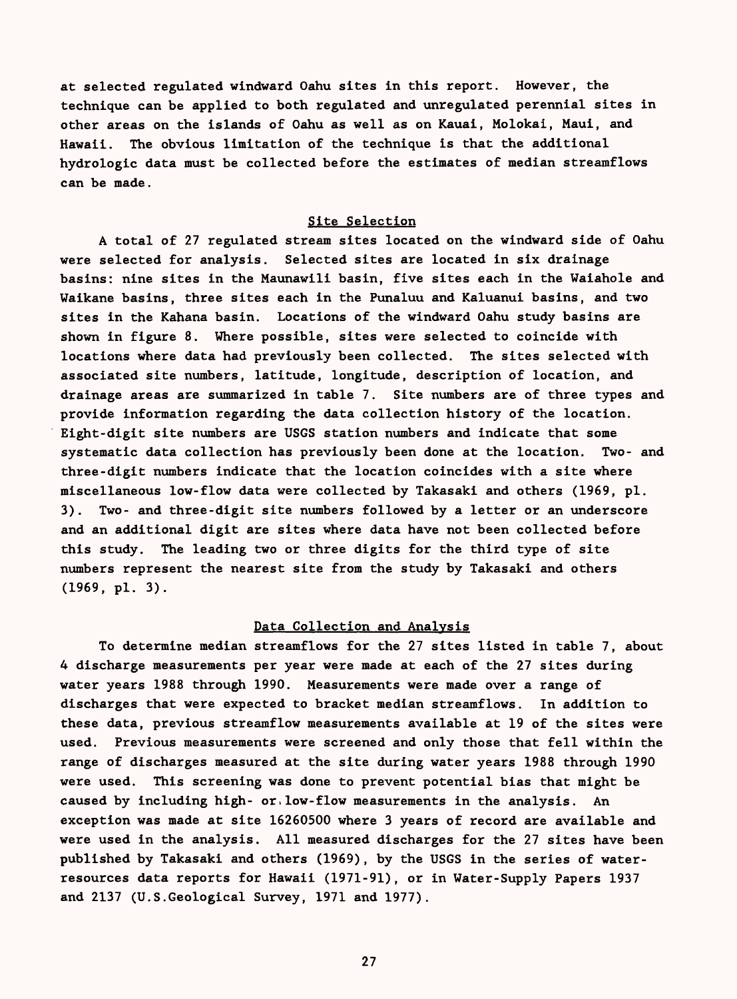at selected regulated windward Oahu sites in this report. However, the technique can be applied to both regulated and unregulated perennial sites in other areas on the islands of Oahu as well as on Kauai, Molokai, Maui, and Hawaii. The obvious limitation of the technique is that the additional hydrologic data must be collected before the estimates of median streamflows can be made.

### Site Selection

A total of 27 regulated stream sites located on the windward side of Oahu were selected for analysis. Selected sites are located in six drainage basins: nine sites in the Maunawili basin, five sites each in the Waiahole and Waikane basins, three sites each in the Funaluu and Kaluanui basins, and two sites in the Kahana basin. Locations of the windward Oahu study basins are shown in figure 8. Where possible, sites were selected to coincide with locations where data had previously been collected. The sites selected with associated site numbers, latitude, longitude, description of location, and drainage areas are summarized in table 7. Site numbers are of three types and provide information regarding the data collection history of the location. Eight-digit site numbers are USGS station numbers and indicate that some systematic data collection has previously been done at the location. Two- and three-digit numbers indicate that the location coincides with a site where miscellaneous low-flow data were collected by Takasaki and others (1969, pi. 3). Two- and three-digit site numbers followed by a letter or an underscore and an additional digit are sites where data have not been collected before this study. The leading two or three digits for the third type of site numbers represent the nearest site from the study by Takasaki and others (1969, pi. 3).

#### Data Collection and Analysis

To determine median streamflows for the 27 sites listed in table 7, about 4 discharge measurements per year were made at each of the 27 sites during water years 1988 through 1990. Measurements were made over a range of discharges that were expected to bracket median streamflows. In addition to these data, previous streamflow measurements available at 19 of the sites were used. Previous measurements were screened and only those that fell within the range of discharges measured at the site during water years 1988 through 1990 were used. This screening was done to prevent potential bias that might be caused by including high- or low-flow measurements in the analysis. An exception was made at site 16260500 where 3 years of record are available and were used in the analysis. All measured discharges for the 27 sites have been published by Takasaki and others (1969), by the USGS in the series of waterresources data reports for Hawaii (1971-91), or in Water-Supply Papers 1937 and 2137 (U.S.Geological Survey, 1971 and 1977).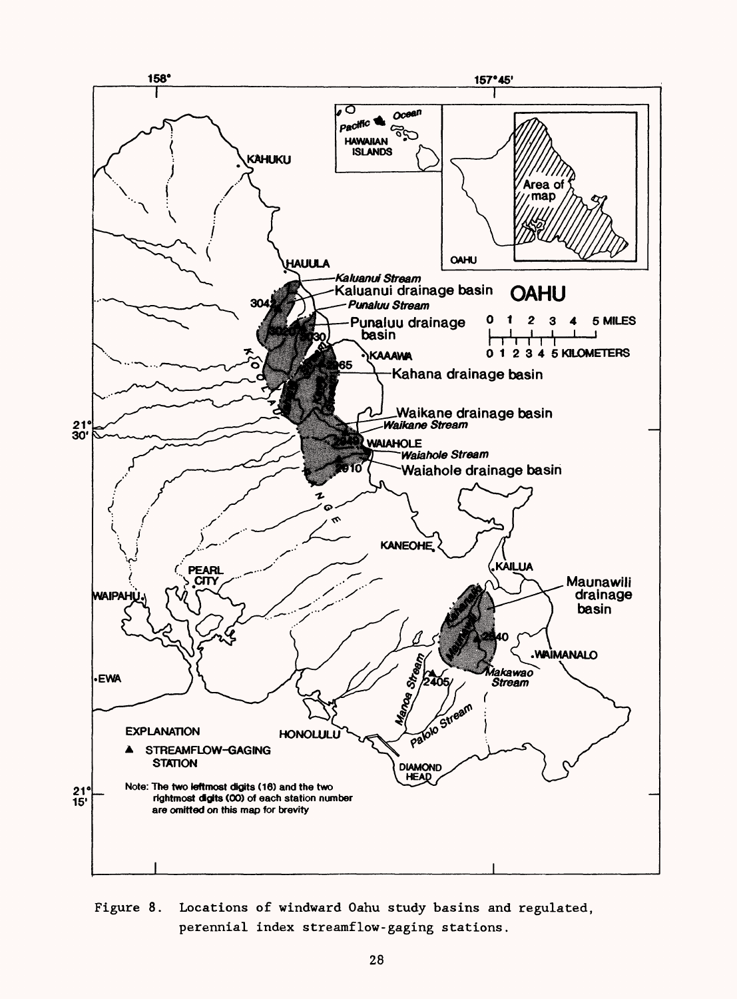

Figure 8. Locations of windward Oahu study basins and regulated, perennial index streamflow-gaging stations.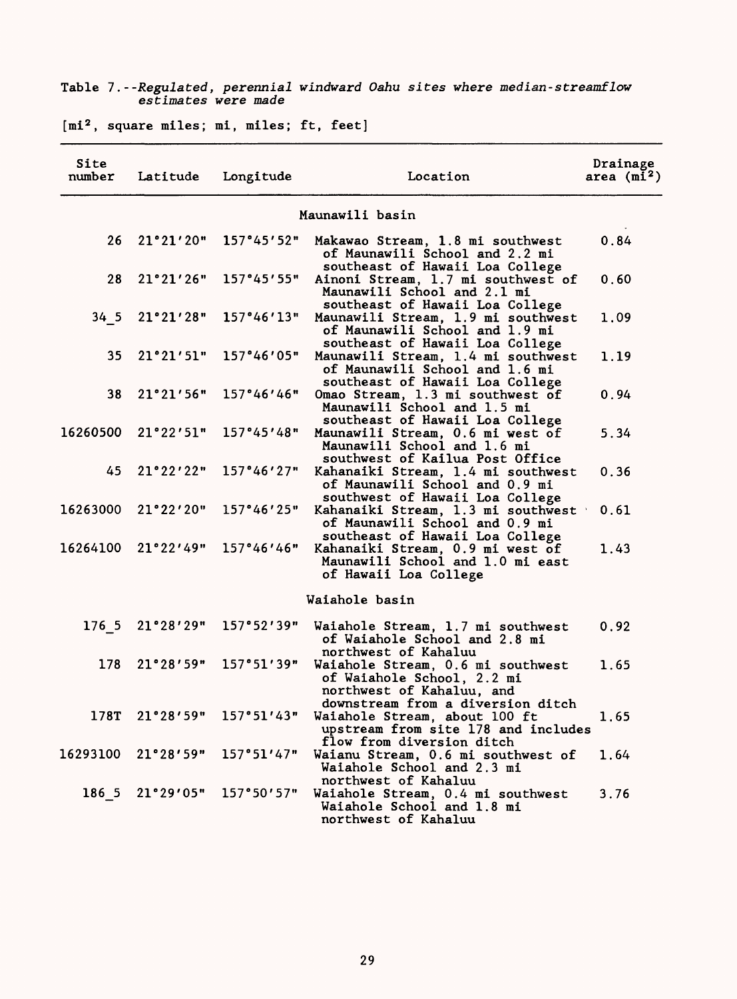| Site<br>number  | Latitude      | Longitude                           | Location                                                                                                                          | Drainage<br>area $(m\bar{i}^2)$ |
|-----------------|---------------|-------------------------------------|-----------------------------------------------------------------------------------------------------------------------------------|---------------------------------|
|                 |               |                                     | Maunawili basin                                                                                                                   |                                 |
| 26 <sub>2</sub> |               | $21°21'20"$ 157°45'52"              | Makawao Stream, 1.8 mi southwest<br>of Maunawili School and 2.2 mi<br>southeast of Hawaii Loa College                             | 0.84                            |
| 28              |               | 21°21'26" 157°45'55"                | Ainoni Stream, 1.7 mi southwest of<br>Maunawili School and 2.1 mi<br>southeast of Hawaii Loa College                              | 0.60                            |
|                 |               | 34 5 21°21'28" 157°46'13"           | Maunawili Stream, 1.9 mi southwest<br>of Maunawili School and 1.9 mi<br>southeast of Hawaii Loa College                           | 1.09                            |
| 35 <sub>1</sub> |               | 21°21′51" 157°46′05"                | Maunawili Stream, 1.4 mi southwest<br>of Maunawili School and 1.6 mi<br>southeast of Hawaii Loa College                           | 1.19                            |
| 38              |               | $21°21'56"$ 157°46'46"              | Omao Stream, 1.3 mi southwest of<br>Maunawili School and 1.5 mi<br>southeast of Hawaii Loa College                                | 0.94                            |
|                 |               | $16260500$ $21°22'51"$ $157°45'48"$ | Maunawili Stream, 0.6 mi west of<br>Maunawili School and 1.6 mi<br>southwest of Kailua Post Office                                | 5.34                            |
| 45              |               | $21°22'22"$ 157°46'27"              | Kahanaiki Stream, 1.4 mi southwest<br>of Maunawili School and 0.9 mi<br>southwest of Hawaii Loa College                           | 0.36                            |
|                 |               | $16263000$ $21°22'20"$ $157°46'25"$ | Kahanaiki Stream, 1.3 mi southwest<br>of Maunawili School and 0.9 mi<br>southeast of Hawaii Loa College                           | 0.61                            |
|                 |               | $16264100$ $21°22'49"$ $157°46'46"$ | Kahanaiki Stream, 0.9 mi west of<br>Maunawili School and 1.0 mi east<br>of Hawaii Loa College                                     | 1.43                            |
|                 |               |                                     | Waiahole basin                                                                                                                    |                                 |
| 176 5           | 21°28'29"     | 157°52'39"                          | Waiahole Stream, 1.7 mi southwest<br>of Waiahole School and 2.8 mi<br>northwest of Kahaluu                                        | 0.92                            |
| 178             | 21°28'59"     | 157°51'39"                          | Waiahole Stream, 0.6 mi southwest<br>of Waiahole School, 2.2 mi<br>northwest of Kahaluu, and<br>downstream from a diversion ditch | 1.65                            |
|                 |               | $178T$ $21°28′59"$ $157°51′43"$     | Waiahole Stream, about 100 ft<br>upstream from site 178 and includes<br>flow from diversion ditch                                 | 1.65                            |
| 16293100        | 21°28'59"     | 157°51'47"                          | Waianu Stream, 0.6 mi southwest of<br>Waiahole School and 2.3 mi<br>northwest of Kahaluu                                          | 1.64                            |
|                 | 186521°29'05" | 157°50'57"                          | Waiahole Stream, 0.4 mi southwest<br>Waiahole School and 1.8 mi<br>northwest of Kahaluu                                           | 3.76                            |

### Table 7. --Regulated, perennial windward Oahu sites where median-streamflow estimates were made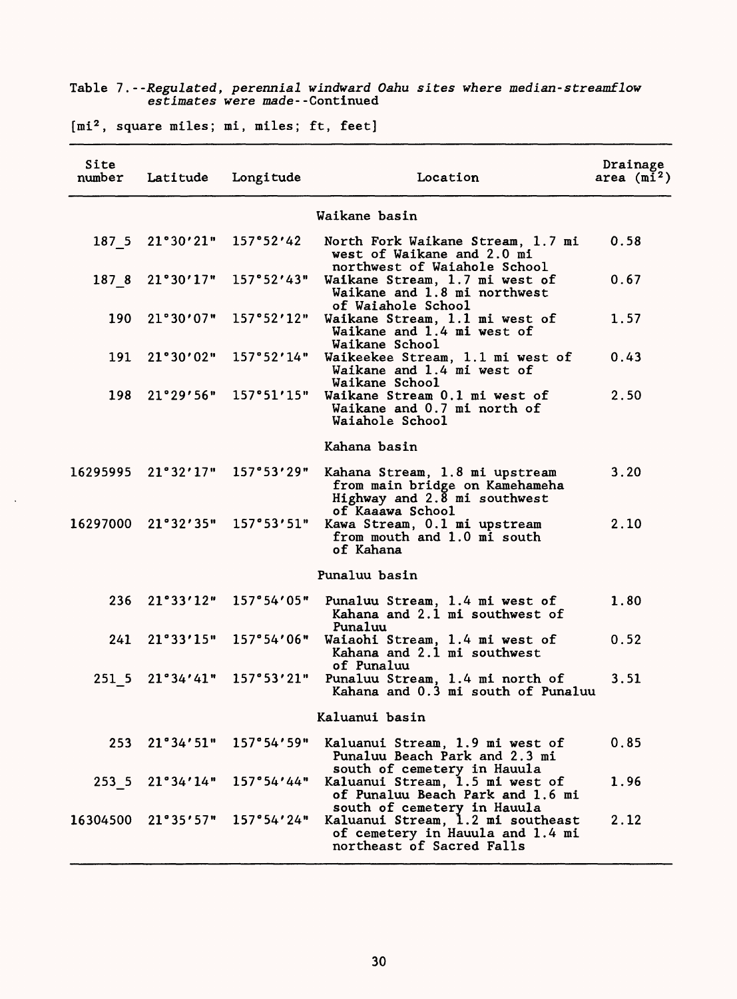|                |                                            | estimates were made--Continued | lable 7. - Regulated, perchillar windwald band sites where median stream fow |                         |
|----------------|--------------------------------------------|--------------------------------|------------------------------------------------------------------------------|-------------------------|
|                | $[mi2, square miles; mi, miles; ft, feet]$ |                                |                                                                              |                         |
| Site<br>number | Latitude                                   | Longitude                      | Location                                                                     | Drainage<br>area $(m2)$ |
|                |                                            |                                | Waikane basin                                                                |                         |
|                | $187$ 5 $21°30'21"$ $157°52'42$            |                                | North Fork Waikang Stream 1 7 mi                                             |                         |

Table 7. --Regulated, perennial windward Oahu sites where median-streamflow

|          |                           |                                                        | Waikane basin                                                                                                                     |      |
|----------|---------------------------|--------------------------------------------------------|-----------------------------------------------------------------------------------------------------------------------------------|------|
|          |                           |                                                        |                                                                                                                                   |      |
|          | 187 5 21°30'21" 157°52'42 |                                                        | North Fork Waikane Stream, 1.7 mi<br>west of Waikane and 2.0 mi<br>northwest of Waiahole School                                   | 0.58 |
| 1878     |                           | $21°30'17"$ 157°52'43"                                 | Waikane Stream, 1.7 mi west of<br>Waikane and 1.8 mi northwest<br>of Waiahole School                                              | 0.67 |
|          |                           | $190$ $21°30'07"$ $157°52'12"$                         | Waikane Stream, 1.1 mi west of<br>Waikane and 1.4 mi west of<br>Waikane School                                                    | 1.57 |
|          |                           | $191 \quad 21^{\circ}30'02'' \quad 157^{\circ}52'14''$ | Waikeekee Stream, 1.1 mi west of<br>Waikane and 1.4 mi west of<br>Waikane School                                                  | 0.43 |
| 198      |                           | 21°29′56" 157°51′15"                                   | Waikane Stream 0.1 mi west of<br>Waikane and 0.7 mi north of<br>Waiahole School                                                   | 2.50 |
|          |                           |                                                        | Kahana basin                                                                                                                      |      |
| 16295995 |                           | 21°32'17" 157°53'29"                                   | Kahana Stream, 1.8 mi upstream<br>from main bridge on Kamehameha<br>Highway and $2.\overline{8}$ mi southwest<br>of Kaaawa School | 3.20 |
|          |                           | 16297000 21°32'35" 157°53'51"                          | Kawa Stream, 0.1 mi upstream<br>from mouth and 1.0 mi south<br>of Kahana                                                          | 2.10 |
|          |                           |                                                        | Punaluu basin                                                                                                                     |      |
|          |                           | $236$ $21°33'12"$ $157°54'05"$                         | Punaluu Stream, 1.4 mi west of<br>Kahana and 2.1 mi southwest of<br>Punaluu                                                       | 1.80 |
|          |                           | $241$ $21°33'15"$ $157°54'06"$                         | Waiaohi Stream, 1.4 mi west of<br>Kahana and 2.1 mi southwest<br>of Punaluu                                                       | 0.52 |
|          |                           | 251 5 21°34'41" 157°53'21"                             | Punaluu Stream, 1.4 mi north of<br>Kahana and 0.3 mi south of Punaluu                                                             | 3.51 |
|          |                           |                                                        | Kaluanui basin                                                                                                                    |      |
|          |                           | $253$ $21^{\circ}34'51"$ $157^{\circ}54'59"$           | Kaluanui Stream, 1.9 mi west of<br>Punaluu Beach Park and 2.3 mi                                                                  | 0.85 |
|          |                           | 253 5 21°34'14" 157°54'44"                             | south of cemetery in Hauula<br>Kaluanui Stream, 1.5 mi west of<br>of Punaluu Beach Park and 1.6 mi                                | 1.96 |
| 16304500 |                           | $21°35′57"$ 157°54′24″                                 | south of cemetery in Hauula<br>Kaluanui Stream, 1.2 mi southeast<br>of cemetery in Hauula and 1.4 mi<br>northeast of Sacred Falls | 2.12 |

 $\hat{\mathcal{A}}$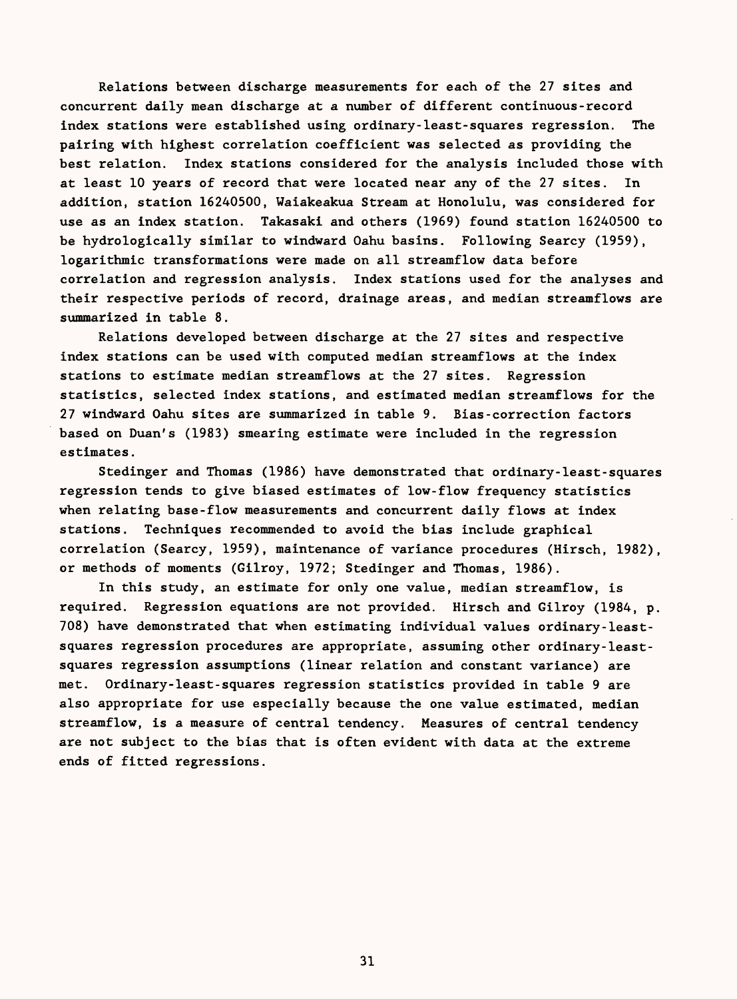Relations between discharge measurements for each of the 27 sites and concurrent daily mean discharge at a number of different continuous-record index stations were established using ordinary-least-squares regression. The pairing with highest correlation coefficient was selected as providing the best relation. Index stations considered for the analysis included those with at least 10 years of record that were located near any of the 27 sites. In addition, station 16240500, Waiakeakua Stream at Honolulu, was considered for use as an index station. Takasaki and others (1969) found station 16240500 to be hydrologically similar to windward Oahu basins. Following Searcy (1959), logarithmic transformations were made on all streamflow data before correlation and regression analysis. Index stations used for the analyses and their respective periods of record, drainage areas, and median streamflows are summarized in table 8.

Relations developed between discharge at the 27 sites and respective index stations can be used with computed median streamflows at the index stations to estimate median streamflows at the 27 sites. Regression statistics, selected index stations, and estimated median streamflows for the 27 windward Oahu sites are summarized in table 9. Bias-correction factors based on Duan's (1983) smearing estimate were included in the regression estimates.

Stedinger and Thomas (1986) have demonstrated that ordinary-least-squares regression tends to give biased estimates of low-flow frequency statistics when relating base-flow measurements and concurrent daily flows at index stations. Techniques recommended to avoid the bias include graphical correlation (Searcy, 1959), maintenance of variance procedures (Hirsch, 1982), or methods of moments (Gilroy, 1972; Stedinger and Thomas, 1986).

In this study, an estimate for only one value, median streamflow, is required. Regression equations are not provided. Hirsch and Gilroy (1984, p. 708) have demonstrated that when estimating individual values ordinary-leastsquares regression procedures are appropriate, assuming other ordinary-leastsquares regression assumptions (linear relation and constant variance) are met. Ordinary-least-squares regression statistics provided in table 9 are also appropriate for use especially because the one value estimated, median streamflow, is a measure of central tendency. Measures of central tendency are not subject to the bias that is often evident with data at the extreme ends of fitted regressions.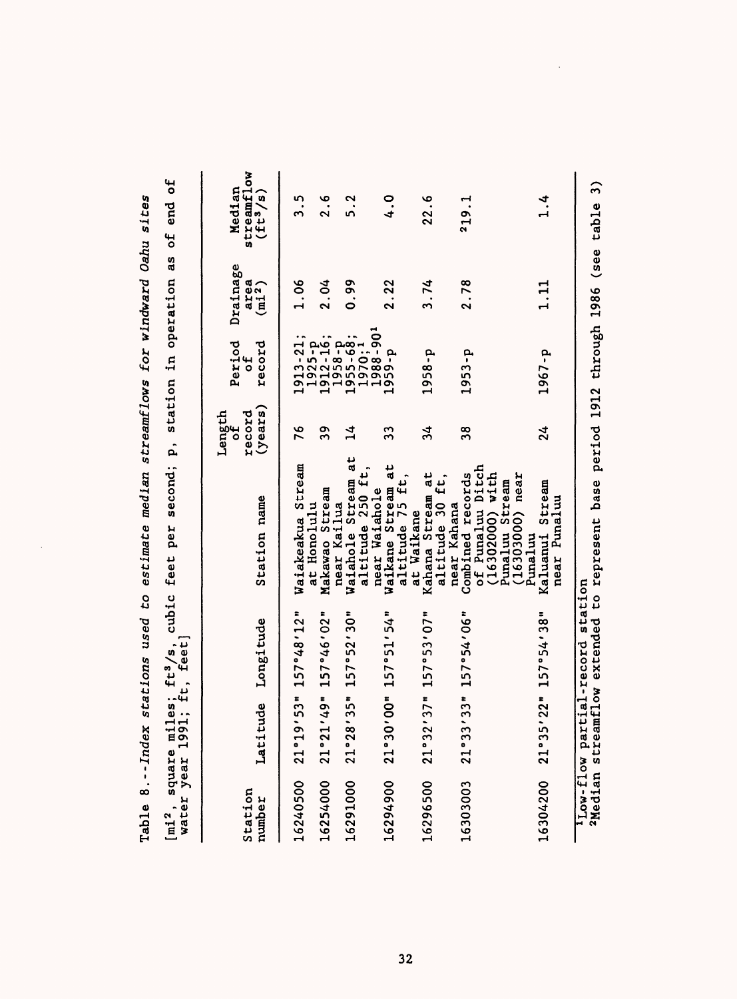| water year 1<br>[mi <sup>2</sup> , square |                         |                      | miles; ft <sup>3</sup> /s, cubic feet per second; p, station in operation as of end of<br>991; ft, feet] |                                  |                                                                                                                                           |                                        |                                    |
|-------------------------------------------|-------------------------|----------------------|----------------------------------------------------------------------------------------------------------|----------------------------------|-------------------------------------------------------------------------------------------------------------------------------------------|----------------------------------------|------------------------------------|
| Station<br>number                         | Latitude                | Longitude            | Station name                                                                                             | (years)<br>Length<br>record<br>đ | Period<br>record<br>ب<br>6                                                                                                                | Drainage<br>area<br>(m1 <sup>2</sup> ) | streamflow<br>Median<br>$(ft^3/s)$ |
| 16240500                                  | .9'53"<br>21°1          | 157°48'12"           | Waiakeakua Stream                                                                                        | 76                               | $1913 - 21;$                                                                                                                              | 1.06                                   | ი<br>ო                             |
| 16254000                                  | 21°21'49"               | 157°46'02"           | Makawao Stream<br>at Honolulu                                                                            | 39                               |                                                                                                                                           | 2.04                                   | 2.6                                |
| 16291000                                  |                         | 21°28'35" 157°52'30" | Waiahole Stream at<br>altitude 250 ft,<br>near Kailua                                                    | $\overline{14}$                  | $\begin{array}{l} 1975 - 7 \\ 1912 - 16 \\ 1912 - 16 \\ 1953 - 63 \\ 1953 - 63 \\ 1970 \\ 1988 - 90 \\ 1988 - 90 \\ 1959 - p \end{array}$ | 0.99                                   | 5.2                                |
| 16294900                                  |                         | 21°30'00" 157°51'54" | Waikane Stream at<br>altitude 75 ft,<br>near Waiahole                                                    | 33                               |                                                                                                                                           | 2.22                                   | $\frac{0}{4}$                      |
| 16296500                                  |                         | 21°32'37" 157°53'07" | Kahana Stream at<br>altitude 30 ft,<br>at Waikane                                                        | $\frac{34}{5}$                   | 1958-p                                                                                                                                    | 3.74                                   | 22.6                               |
| 16303003                                  |                         | 21°33'33" 157°54'06" | of Punaluu Ditch<br>$(16302000)$ with<br>Combined records<br>near Kahana                                 | 38                               | $1953-p$                                                                                                                                  | 2.78                                   | 219.1                              |
| 16304200                                  |                         | 21°35'22" 157°54'38" | 16303000) near<br>Punaluu Stream<br>Kaluanui Stream<br>near Punaluu<br>Punaluu                           | 24                               | 1967-p                                                                                                                                    | 1.11                                   | 1.4                                |
|                                           | low-flow partial-record | station              | <sup>2</sup> Median streamflow extended to represent base period 1912 through 1986 (see table 3)         |                                  |                                                                                                                                           |                                        |                                    |

Table 8.--Index stations used to estimate median streamflows for windward Oahu sites Table 8.--Index stations used to estimate median streamflows for windward Oahu sites

 $\ddot{\phantom{1}}$ 

**10** to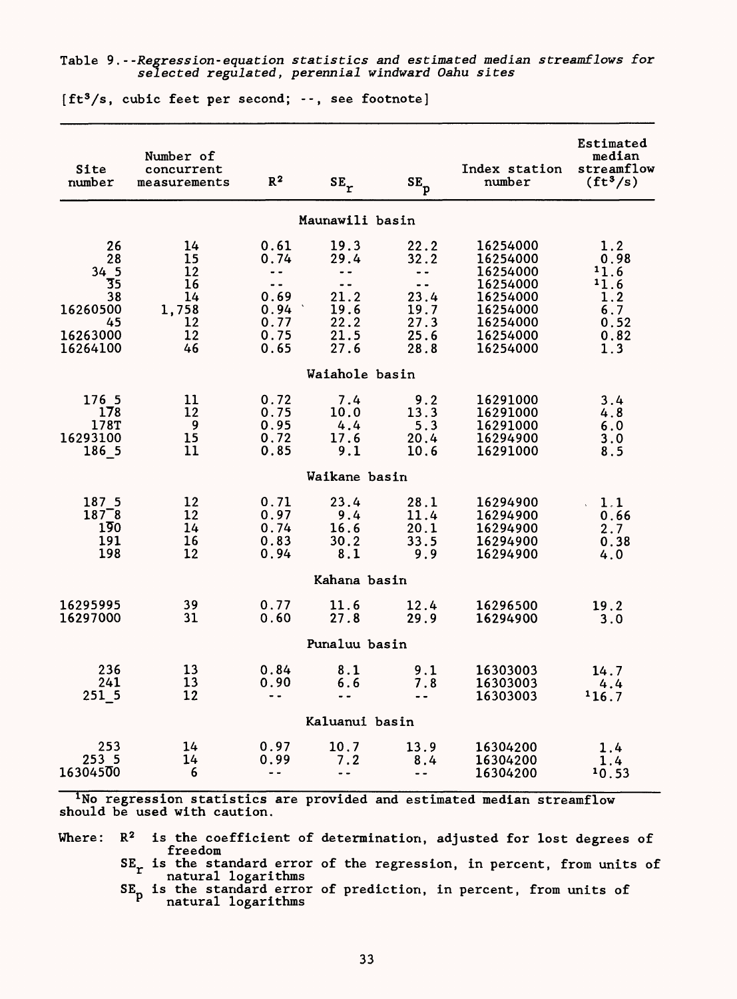#### Table 9.- -Regression-equation statistics and estimated median streamflows for selected regulated, perennial windward Oahu sites

| Site<br>number                                                         | Number of<br>concurrent<br>measurements               | $R^2$                                                                                             | $\texttt{SE}_\texttt{r}$                                                                          | $SE_p$                                                                                         | Index station<br>number                                                                                  | Estimated<br>median<br>streamflow<br>$(ft^3/s)$                  |  |  |  |
|------------------------------------------------------------------------|-------------------------------------------------------|---------------------------------------------------------------------------------------------------|---------------------------------------------------------------------------------------------------|------------------------------------------------------------------------------------------------|----------------------------------------------------------------------------------------------------------|------------------------------------------------------------------|--|--|--|
|                                                                        |                                                       |                                                                                                   | Maunawili basin                                                                                   |                                                                                                |                                                                                                          |                                                                  |  |  |  |
| 26<br>28<br>34 5<br>35<br>38<br>16260500<br>45<br>16263000<br>16264100 | 14<br>15<br>12<br>16<br>14<br>1,758<br>12<br>12<br>46 | 0.61<br>0.74<br>$\overline{\phantom{a}}$<br>$\sim$ $\sim$<br>0.69<br>0.94<br>0.77<br>0.75<br>0.65 | 19.3<br>29.4<br>$\overline{\phantom{a}}$<br>$\sim$ $\sim$<br>21.2<br>19.6<br>22.2<br>21.5<br>27.6 | 22.2<br>32.2<br>$\sim$ $\sim$ $\sim$<br>$\overline{a}$<br>23.4<br>19.7<br>27.3<br>25.6<br>28.8 | 16254000<br>16254000<br>16254000<br>16254000<br>16254000<br>16254000<br>16254000<br>16254000<br>16254000 | 1.2<br>0.98<br>11.6<br>11.6<br>1.2<br>6.7<br>0.52<br>0.82<br>1.3 |  |  |  |
|                                                                        |                                                       |                                                                                                   | Waiahole basin                                                                                    |                                                                                                |                                                                                                          |                                                                  |  |  |  |
| 176 5<br>178<br>178T<br>16293100<br>186 5                              | 11<br>12<br>9<br>15<br>11                             | 0.72<br>0.75<br>0.95<br>0.72<br>0.85                                                              | 7.4<br>10.0<br>4.4<br>17.6<br>9.1                                                                 | 9.2<br>13.3<br>5.3<br>20.4<br>10.6                                                             | 16291000<br>16291000<br>16291000<br>16294900<br>16291000                                                 | 3.4<br>4.8<br>6.0<br>3.0<br>8.5                                  |  |  |  |
| Waikane basin                                                          |                                                       |                                                                                                   |                                                                                                   |                                                                                                |                                                                                                          |                                                                  |  |  |  |
| 187 5<br>$187^-8$<br>$1\overline{9}0$<br>191<br>198                    | 12<br>12<br>14<br>16<br>12                            | 0.71<br>0.97<br>0.74<br>0.83<br>0.94                                                              | 23.4<br>9.4<br>16.6<br>30.2<br>8.1                                                                | 28.1<br>11.4<br>20.1<br>33.5<br>9.9                                                            | 16294900<br>16294900<br>16294900<br>16294900<br>16294900                                                 | $\ddot{1}$ .1<br>0.66<br>2.7<br>0.38<br>4.0                      |  |  |  |
|                                                                        |                                                       |                                                                                                   | Kahana basin                                                                                      |                                                                                                |                                                                                                          |                                                                  |  |  |  |
| 16295995<br>16297000                                                   | 39<br>31                                              | 0.77<br>0.60                                                                                      | 11.6<br>27.8                                                                                      | 12.4<br>29.9                                                                                   | 16296500<br>16294900                                                                                     | 19.2<br>3.0                                                      |  |  |  |
|                                                                        |                                                       |                                                                                                   | Punaluu basin                                                                                     |                                                                                                |                                                                                                          |                                                                  |  |  |  |
| 236<br>241<br>251 5                                                    | 13<br>13<br>12                                        | 0.84<br>0.90<br>$\ddot{\phantom{0}}$                                                              | 8.1<br>6.6<br>$\sim$ $\sim$                                                                       | 9.1<br>7.8<br>$\ddot{\phantom{0}}$                                                             | 16303003<br>16303003<br>16303003                                                                         | 14.7<br>4.4<br>116.7                                             |  |  |  |
|                                                                        |                                                       |                                                                                                   | Kaluanui basin                                                                                    |                                                                                                |                                                                                                          |                                                                  |  |  |  |
| 253<br>253 5<br>16304500                                               | 14<br>14<br>6                                         | 0.97<br>0.99<br>$\blacksquare$                                                                    | 10.7<br>7.2<br>$\ddot{\phantom{1}}$                                                               | 13.9<br>8.4<br>$\overline{\phantom{a}}$                                                        | 16304200<br>16304200<br>16304200                                                                         | 1.4<br>1.4<br>10.53                                              |  |  |  |

 $[ft<sup>3</sup>/s, cubic feet per second; --, see footnote]$ 

<sup>1</sup>No regression statistics are provided and estimated median streamflow should be used with caution.

Where:  $R^2$  is the coefficient of determination, adjusted for lost degrees of freedom

 $SE_r$  is the standard error of the regression, in percent, from units of natural logarithms

SE<sub>r</sub> is the standard error of prediction, in percent, from units of <sup>P</sup> natural logarithms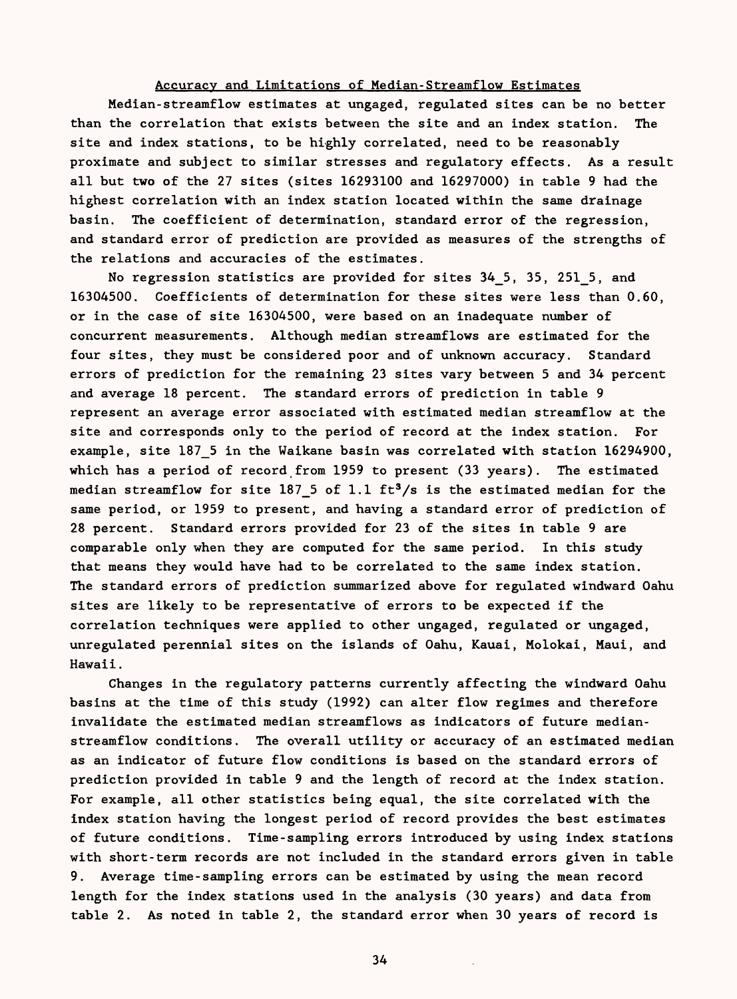### Accuracy and Limitations of Median-Streamflow Estimates

Median-streamflow estimates at ungaged, regulated sites can be no better than the correlation that exists between the site and an index station. The site and index stations, to be highly correlated, need to be reasonably proximate and subject to similar stresses and regulatory effects. As a result all but two of the 27 sites (sites 16293100 and 16297000) in table 9 had the highest correlation with an index station located within the same drainage basin. The coefficient of determination, standard error of the regression, and standard error of prediction are provided as measures of the strengths of the relations and accuracies of the estimates.

No regression statistics are provided for sites 34\_5, 35, 251\_5, and 16304500. Coefficients of determination for these sites were less than 0.60, or in the case of site 16304500, were based on an inadequate number of concurrent measurements. Although median streamflows are estimated for the four sites, they must be considered poor and of unknown accuracy. Standard errors of prediction for the remaining 23 sites vary between 5 and 34 percent and average 18 percent. The standard errors of prediction in table 9 represent an average error associated with estimated median streamflow at the site and corresponds only to the period of record at the index station. For example, site 187\_5 in the Waikane basin was correlated with station 16294900, which has a period of record from 1959 to present (33 years). The estimated median streamflow for site 187 5 of 1.1  $ft^3/s$  is the estimated median for the same period, or 1959 to present, and having a standard error of prediction of 28 percent. Standard errors provided for 23 of the sites in table 9 are comparable only when they are computed for the same period. In this study that means they would have had to be correlated to the same index station. The standard errors of prediction summarized above for regulated windward Oahu sites are likely to be representative of errors to be expected if the correlation techniques were applied to other ungaged, regulated or ungaged, unregulated perennial sites on the islands of Oahu, Kauai, Molokai, Maui, and Hawaii.

Changes in the regulatory patterns currently affecting the windward Oahu basins at the time of this study (1992) can alter flow regimes and therefore invalidate the estimated median streamflows as indicators of future medianstreamflow conditions. The overall utility or accuracy of an estimated median as an indicator of future flow conditions is based on the standard errors of prediction provided in table 9 and the length of record at the index station. For example, all other statistics being equal, the site correlated with the index station having the longest period of record provides the best estimates of future conditions. Time-sampling errors introduced by using index stations with short-term records are not included in the standard errors given in table 9. Average time-sampling errors can be estimated by using the mean record length for the index stations used in the analysis (30 years) and data from table 2. As noted in table 2, the standard error when 30 years of record is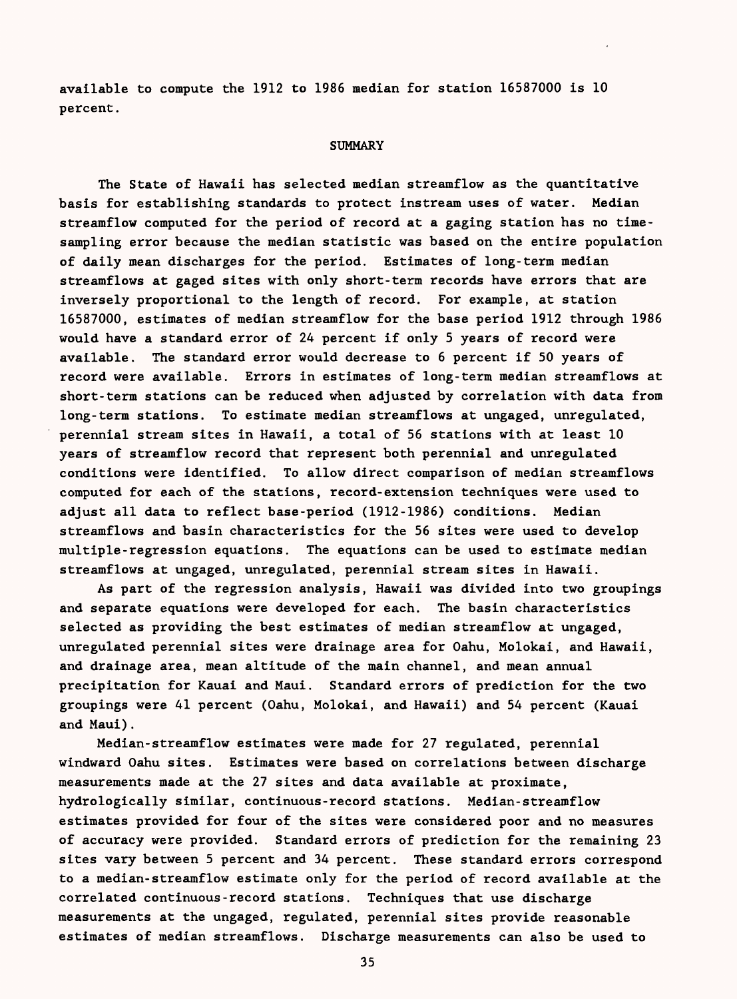available to compute the 1912 to 1986 median for station 16587000 is 10 percent.

#### **SUMMARY**

The State of Hawaii has selected median streamflow as the quantitative basis for establishing standards to protect instream uses of water. Median streamflow computed for the period of record at a gaging station has no timesampling error because the median statistic was based on the entire population of daily mean discharges for the period. Estimates of long-term median streamflows at gaged sites with only short-term records have errors that are inversely proportional to the length of record. For example, at station 16587000, estimates of median streamflow for the base period 1912 through 1986 would have a standard error of 24 percent if only 5 years of record were available. The standard error would decrease to 6 percent if 50 years of record were available. Errors in estimates of long-term median streamflows at short-term stations can be reduced when adjusted by correlation with data from long-term stations. To estimate median streamflows at ungaged, unregulated, perennial stream sites in Hawaii, a total of 56 stations with at least 10 years of streamflow record that represent both perennial and unregulated conditions were identified. To allow direct comparison of median streamflows computed for each of the stations, record-extension techniques were used to adjust all data to reflect base-period (1912-1986) conditions. Median streamflows and basin characteristics for the 56 sites were used to develop multiple-regression equations. The equations can be used to estimate median streamflows at ungaged, unregulated, perennial stream sites in Hawaii.

As part of the regression analysis, Hawaii was divided into two groupings and separate equations were developed for each. The basin characteristics selected as providing the best estimates of median streamflow at ungaged, unregulated perennial sites were drainage area for Oahu, Molokai, and Hawaii, and drainage area, mean altitude of the main channel, and mean annual precipitation for Kauai and Maui. Standard errors of prediction for the two groupings were 41 percent (Oahu, Molokai, and Hawaii) and 54 percent (Kauai and Maui).

Median-streamflow estimates were made for 27 regulated, perennial windward Oahu sites. Estimates were based on correlations between discharge measurements made at the 27 sites and data available at proximate, hydrologically similar, continuous-record stations. Median-streamflow estimates provided for four of the sites were considered poor and no measures of accuracy were provided. Standard errors of prediction for the remaining 23 sites vary between 5 percent and 34 percent. These standard errors correspond to a median-streamflow estimate only for the period of record available at the correlated continuous-record stations. Techniques that use discharge measurements at the ungaged, regulated, perennial sites provide reasonable estimates of median streamflows. Discharge measurements can also be used to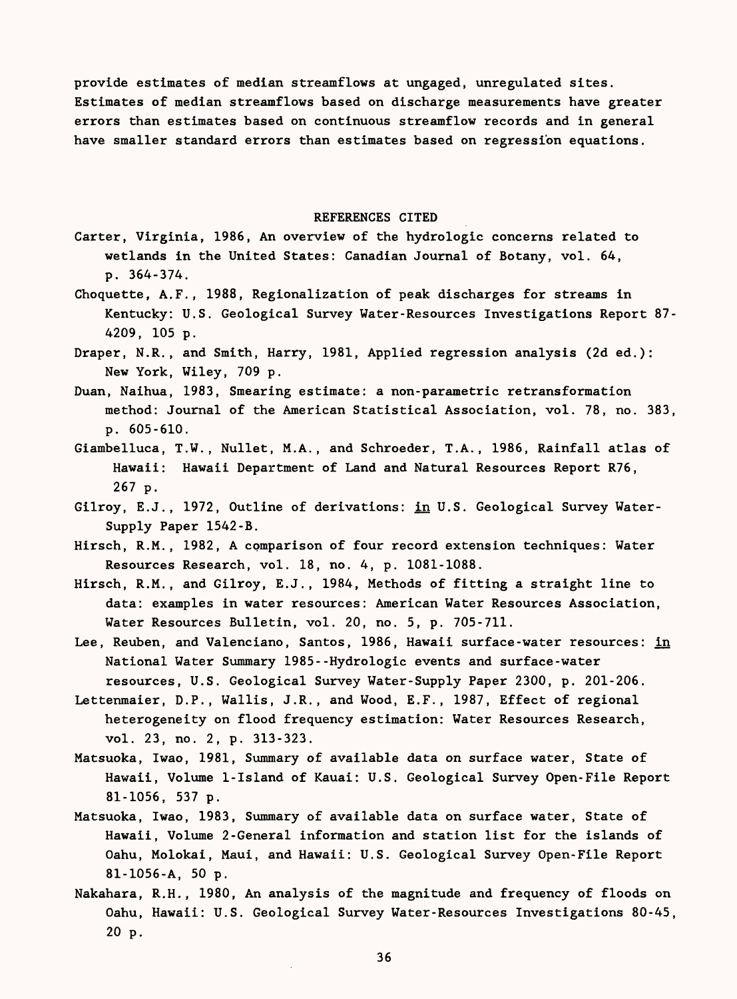provide estimates of median streamflows at ungaged, unregulated sites. Estimates of median streamflows based on discharge measurements have greater errors than estimates based on continuous streamflow records and in general have smaller standard errors than estimates based on regression equations.

#### REFERENCES CITED

- Carter, Virginia, 1986, An overview of the hydrologic concerns related to wetlands in the United States: Canadian Journal of Botany, vol. 64, p. 364-374.
- Choquette, A.F., 1988, Regionalization of peak discharges for streams in Kentucky: U.S. Geological Survey Water-Resources Investigations Report 87- 4209, 105 p.
- Draper, N.R., and Smith, Harry, 1981, Applied regression analysis (2d ed.): New York, Wiley, 709 p.
- Duan, Naihua, 1983, Smearing estimate: a non-parametric retransformation method: Journal of the American Statistical Association, vol. 78, no. 383, p. 605-610.
- Giambelluca, T.W., Nullet, M.A., and Schroeder, T.A., 1986, Rainfall atlas of Hawaii: Hawaii Department of Land and Natural Resources Report R76, 267 p.
- Gilroy, E.J., 1972, Outline of derivations: in U.S. Geological Survey Water-Supply Paper 1542-B.
- Hirsch, R.M., 1982, A comparison of four record extension techniques: Water Resources Research, vol. 18, no. 4, p. 1081-1088.
- Hirsch, R.M., and Gilroy, E.J., 1984, Methods of fitting a straight line to data: examples in water resources: American Water Resources Association, Water Resources Bulletin, vol. 20, no. 5, p. 705-711.
- Lee, Reuben, and Valenciano, Santos, 1986, Hawaii surface-water resources: in National Water Summary 1985--Hydrologic events and surface-water resources, U.S. Geological Survey Water-Supply Paper 2300, p. 201-206.
- Lettenmaier, D.P., Wallis, J.R., and Wood, E.F., 1987, Effect of regional heterogeneity on flood frequency estimation: Water Resources Research, vol. 23, no. 2, p. 313-323.
- Matsuoka, Iwao, 1981, Summary of available data on surface water, State of Hawaii, Volume 1-Island of Kauai: U.S. Geological Survey Open-File Report 81-1056, 537 p.
- Matsuoka, Iwao, 1983, Summary of available data on surface water, State of Hawaii, Volume 2-General information and station list for the islands of Oahu, Molokai, Maui, and Hawaii: U.S. Geological Survey Open-File Report 81-1056-A, 50 p.
- Nakahara, R.H., 1980, An analysis of the magnitude and frequency of floods on Oahu, Hawaii: U.S. Geological Survey Water-Resources Investigations 80-45, 20 p.